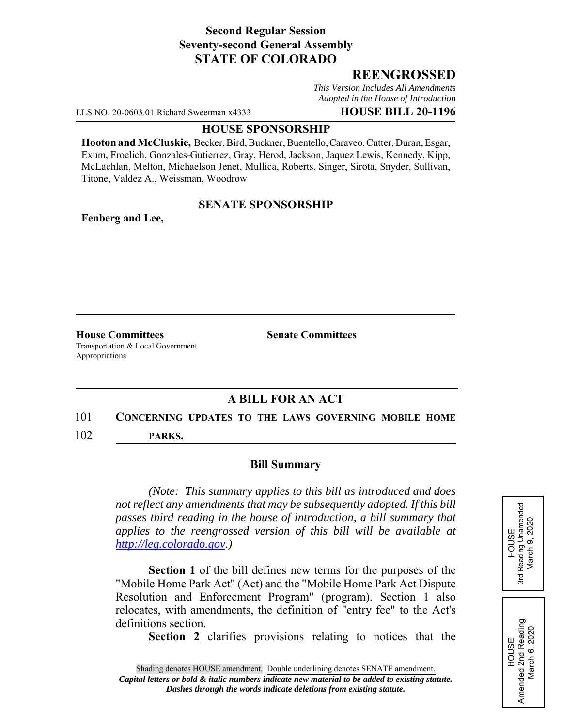### **Second Regular Session Seventy-second General Assembly STATE OF COLORADO**

## **REENGROSSED**

*This Version Includes All Amendments Adopted in the House of Introduction*

LLS NO. 20-0603.01 Richard Sweetman x4333 **HOUSE BILL 20-1196**

#### **HOUSE SPONSORSHIP**

**Hooton and McCluskie,** Becker, Bird, Buckner, Buentello, Caraveo, Cutter, Duran, Esgar, Exum, Froelich, Gonzales-Gutierrez, Gray, Herod, Jackson, Jaquez Lewis, Kennedy, Kipp, McLachlan, Melton, Michaelson Jenet, Mullica, Roberts, Singer, Sirota, Snyder, Sullivan, Titone, Valdez A., Weissman, Woodrow

### **SENATE SPONSORSHIP**

**Fenberg and Lee,**

**House Committees Senate Committees** Transportation & Local Government Appropriations

# **A BILL FOR AN ACT**

#### 101 **CONCERNING UPDATES TO THE LAWS GOVERNING MOBILE HOME**

102 **PARKS.**

#### **Bill Summary**

*(Note: This summary applies to this bill as introduced and does not reflect any amendments that may be subsequently adopted. If this bill passes third reading in the house of introduction, a bill summary that applies to the reengrossed version of this bill will be available at http://leg.colorado.gov.)*

**Section 1** of the bill defines new terms for the purposes of the "Mobile Home Park Act" (Act) and the "Mobile Home Park Act Dispute Resolution and Enforcement Program" (program). Section 1 also relocates, with amendments, the definition of "entry fee" to the Act's definitions section.

**Section 2** clarifies provisions relating to notices that the



# Amended 2nd Reading<br>March 6, 2020 Amended 2nd Reading March 6, 2020 HOUSE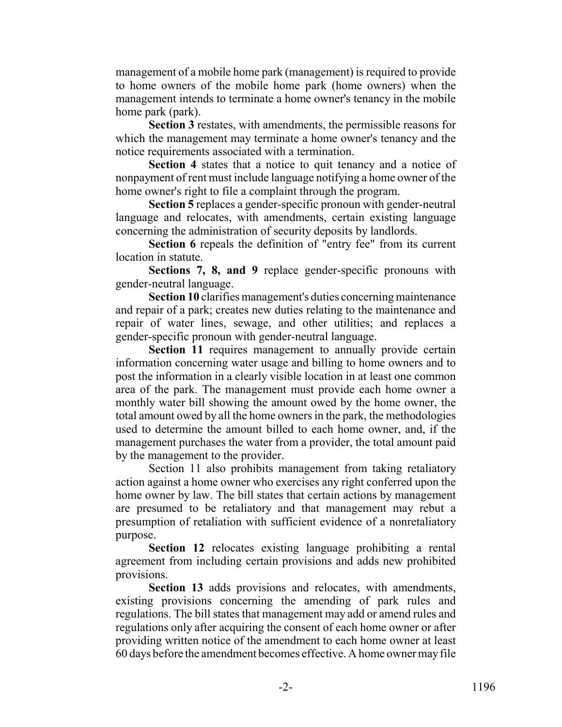management of a mobile home park (management) is required to provide to home owners of the mobile home park (home owners) when the management intends to terminate a home owner's tenancy in the mobile home park (park).

**Section 3** restates, with amendments, the permissible reasons for which the management may terminate a home owner's tenancy and the notice requirements associated with a termination.

**Section 4** states that a notice to quit tenancy and a notice of nonpayment of rent must include language notifying a home owner of the home owner's right to file a complaint through the program.

**Section 5** replaces a gender-specific pronoun with gender-neutral language and relocates, with amendments, certain existing language concerning the administration of security deposits by landlords.

**Section 6** repeals the definition of "entry fee" from its current location in statute.

**Sections 7, 8, and 9** replace gender-specific pronouns with gender-neutral language.

**Section 10** clarifies management's duties concerning maintenance and repair of a park; creates new duties relating to the maintenance and repair of water lines, sewage, and other utilities; and replaces a gender-specific pronoun with gender-neutral language.

**Section 11** requires management to annually provide certain information concerning water usage and billing to home owners and to post the information in a clearly visible location in at least one common area of the park. The management must provide each home owner a monthly water bill showing the amount owed by the home owner, the total amount owed by all the home owners in the park, the methodologies used to determine the amount billed to each home owner, and, if the management purchases the water from a provider, the total amount paid by the management to the provider.

Section 11 also prohibits management from taking retaliatory action against a home owner who exercises any right conferred upon the home owner by law. The bill states that certain actions by management are presumed to be retaliatory and that management may rebut a presumption of retaliation with sufficient evidence of a nonretaliatory purpose.

**Section 12** relocates existing language prohibiting a rental agreement from including certain provisions and adds new prohibited provisions.

**Section 13** adds provisions and relocates, with amendments, existing provisions concerning the amending of park rules and regulations. The bill states that management may add or amend rules and regulations only after acquiring the consent of each home owner or after providing written notice of the amendment to each home owner at least 60 days before the amendment becomes effective. A home owner may file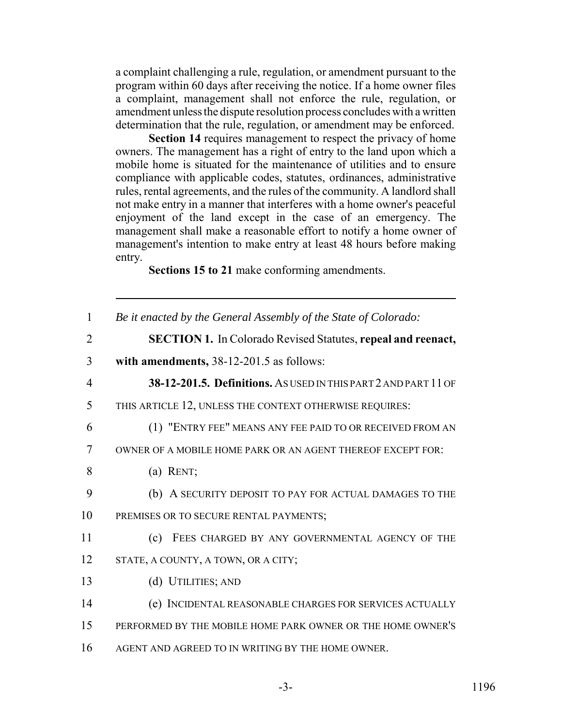a complaint challenging a rule, regulation, or amendment pursuant to the program within 60 days after receiving the notice. If a home owner files a complaint, management shall not enforce the rule, regulation, or amendment unless the dispute resolution process concludes with a written determination that the rule, regulation, or amendment may be enforced.

**Section 14** requires management to respect the privacy of home owners. The management has a right of entry to the land upon which a mobile home is situated for the maintenance of utilities and to ensure compliance with applicable codes, statutes, ordinances, administrative rules, rental agreements, and the rules of the community. A landlord shall not make entry in a manner that interferes with a home owner's peaceful enjoyment of the land except in the case of an emergency. The management shall make a reasonable effort to notify a home owner of management's intention to make entry at least 48 hours before making entry.

**Sections 15 to 21** make conforming amendments.

| $\mathbf{1}$   | Be it enacted by the General Assembly of the State of Colorado:     |
|----------------|---------------------------------------------------------------------|
| $\overline{2}$ | <b>SECTION 1.</b> In Colorado Revised Statutes, repeal and reenact, |
| 3              | with amendments, 38-12-201.5 as follows:                            |
| $\overline{4}$ | 38-12-201.5. Definitions. ASUSED IN THIS PART 2 AND PART 11 OF      |
| 5              | THIS ARTICLE 12, UNLESS THE CONTEXT OTHERWISE REQUIRES:             |
| 6              | (1) "ENTRY FEE" MEANS ANY FEE PAID TO OR RECEIVED FROM AN           |
| $\tau$         | OWNER OF A MOBILE HOME PARK OR AN AGENT THEREOF EXCEPT FOR:         |
| 8              | $(a)$ RENT;                                                         |
| 9              | (b) A SECURITY DEPOSIT TO PAY FOR ACTUAL DAMAGES TO THE             |
| 10             | PREMISES OR TO SECURE RENTAL PAYMENTS;                              |
| 11             | FEES CHARGED BY ANY GOVERNMENTAL AGENCY OF THE<br>(c)               |
| 12             | STATE, A COUNTY, A TOWN, OR A CITY;                                 |
| 13             | (d) UTILITIES; AND                                                  |
| 14             | (e) INCIDENTAL REASONABLE CHARGES FOR SERVICES ACTUALLY             |
| 15             | PERFORMED BY THE MOBILE HOME PARK OWNER OR THE HOME OWNER'S         |
| 16             | AGENT AND AGREED TO IN WRITING BY THE HOME OWNER.                   |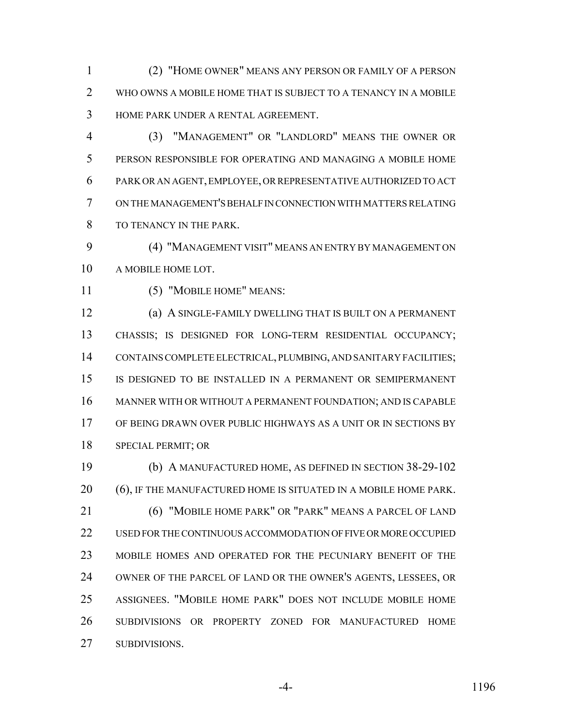(2) "HOME OWNER" MEANS ANY PERSON OR FAMILY OF A PERSON WHO OWNS A MOBILE HOME THAT IS SUBJECT TO A TENANCY IN A MOBILE HOME PARK UNDER A RENTAL AGREEMENT.

 (3) "MANAGEMENT" OR "LANDLORD" MEANS THE OWNER OR PERSON RESPONSIBLE FOR OPERATING AND MANAGING A MOBILE HOME PARK OR AN AGENT, EMPLOYEE, OR REPRESENTATIVE AUTHORIZED TO ACT ON THE MANAGEMENT'S BEHALF IN CONNECTION WITH MATTERS RELATING TO TENANCY IN THE PARK.

 (4) "MANAGEMENT VISIT" MEANS AN ENTRY BY MANAGEMENT ON A MOBILE HOME LOT.

(5) "MOBILE HOME" MEANS:

 (a) A SINGLE-FAMILY DWELLING THAT IS BUILT ON A PERMANENT CHASSIS; IS DESIGNED FOR LONG-TERM RESIDENTIAL OCCUPANCY; CONTAINS COMPLETE ELECTRICAL, PLUMBING, AND SANITARY FACILITIES; IS DESIGNED TO BE INSTALLED IN A PERMANENT OR SEMIPERMANENT MANNER WITH OR WITHOUT A PERMANENT FOUNDATION; AND IS CAPABLE OF BEING DRAWN OVER PUBLIC HIGHWAYS AS A UNIT OR IN SECTIONS BY SPECIAL PERMIT; OR

 (b) A MANUFACTURED HOME, AS DEFINED IN SECTION 38-29-102 (6), IF THE MANUFACTURED HOME IS SITUATED IN A MOBILE HOME PARK. (6) "MOBILE HOME PARK" OR "PARK" MEANS A PARCEL OF LAND USED FOR THE CONTINUOUS ACCOMMODATION OF FIVE OR MORE OCCUPIED MOBILE HOMES AND OPERATED FOR THE PECUNIARY BENEFIT OF THE OWNER OF THE PARCEL OF LAND OR THE OWNER'S AGENTS, LESSEES, OR ASSIGNEES. "MOBILE HOME PARK" DOES NOT INCLUDE MOBILE HOME SUBDIVISIONS OR PROPERTY ZONED FOR MANUFACTURED HOME SUBDIVISIONS.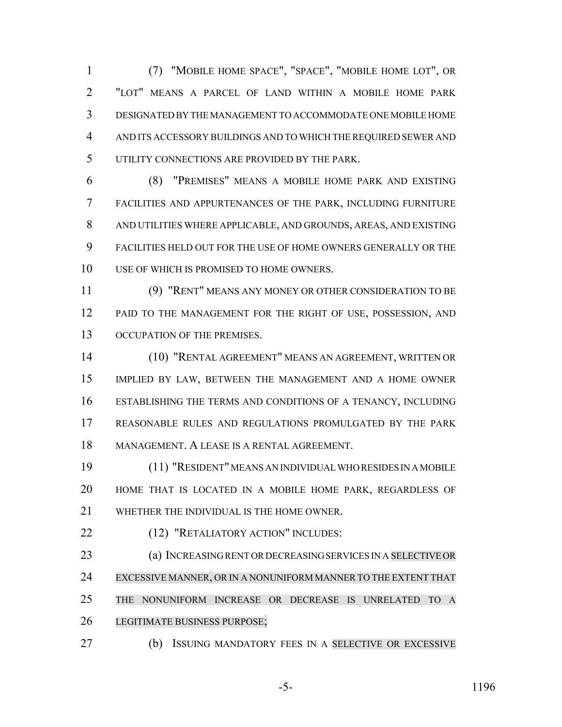(7) "MOBILE HOME SPACE", "SPACE", "MOBILE HOME LOT", OR "LOT" MEANS A PARCEL OF LAND WITHIN A MOBILE HOME PARK DESIGNATED BY THE MANAGEMENT TO ACCOMMODATE ONE MOBILE HOME AND ITS ACCESSORY BUILDINGS AND TO WHICH THE REQUIRED SEWER AND UTILITY CONNECTIONS ARE PROVIDED BY THE PARK.

 (8) "PREMISES" MEANS A MOBILE HOME PARK AND EXISTING FACILITIES AND APPURTENANCES OF THE PARK, INCLUDING FURNITURE AND UTILITIES WHERE APPLICABLE, AND GROUNDS, AREAS, AND EXISTING FACILITIES HELD OUT FOR THE USE OF HOME OWNERS GENERALLY OR THE 10 USE OF WHICH IS PROMISED TO HOME OWNERS.

 (9) "RENT" MEANS ANY MONEY OR OTHER CONSIDERATION TO BE PAID TO THE MANAGEMENT FOR THE RIGHT OF USE, POSSESSION, AND 13 OCCUPATION OF THE PREMISES.

 (10) "RENTAL AGREEMENT" MEANS AN AGREEMENT, WRITTEN OR IMPLIED BY LAW, BETWEEN THE MANAGEMENT AND A HOME OWNER ESTABLISHING THE TERMS AND CONDITIONS OF A TENANCY, INCLUDING REASONABLE RULES AND REGULATIONS PROMULGATED BY THE PARK MANAGEMENT. A LEASE IS A RENTAL AGREEMENT.

 (11) "RESIDENT" MEANS AN INDIVIDUAL WHO RESIDES IN A MOBILE HOME THAT IS LOCATED IN A MOBILE HOME PARK, REGARDLESS OF WHETHER THE INDIVIDUAL IS THE HOME OWNER.

22 (12) "RETALIATORY ACTION" INCLUDES:

 (a) INCREASING RENT OR DECREASING SERVICES IN A SELECTIVE OR EXCESSIVE MANNER, OR IN A NONUNIFORM MANNER TO THE EXTENT THAT THE NONUNIFORM INCREASE OR DECREASE IS UNRELATED TO A LEGITIMATE BUSINESS PURPOSE;

(b) ISSUING MANDATORY FEES IN A SELECTIVE OR EXCESSIVE

-5- 1196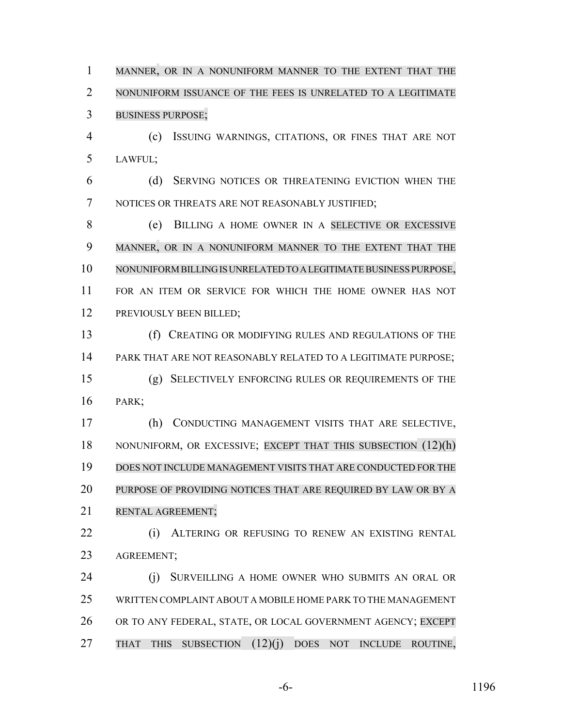MANNER, OR IN A NONUNIFORM MANNER TO THE EXTENT THAT THE NONUNIFORM ISSUANCE OF THE FEES IS UNRELATED TO A LEGITIMATE BUSINESS PURPOSE;

 (c) ISSUING WARNINGS, CITATIONS, OR FINES THAT ARE NOT LAWFUL;

 (d) SERVING NOTICES OR THREATENING EVICTION WHEN THE NOTICES OR THREATS ARE NOT REASONABLY JUSTIFIED;

 (e) BILLING A HOME OWNER IN A SELECTIVE OR EXCESSIVE MANNER, OR IN A NONUNIFORM MANNER TO THE EXTENT THAT THE NONUNIFORM BILLING IS UNRELATED TO A LEGITIMATE BUSINESS PURPOSE, FOR AN ITEM OR SERVICE FOR WHICH THE HOME OWNER HAS NOT 12 PREVIOUSLY BEEN BILLED;

 (f) CREATING OR MODIFYING RULES AND REGULATIONS OF THE PARK THAT ARE NOT REASONABLY RELATED TO A LEGITIMATE PURPOSE; (g) SELECTIVELY ENFORCING RULES OR REQUIREMENTS OF THE PARK;

 (h) CONDUCTING MANAGEMENT VISITS THAT ARE SELECTIVE, NONUNIFORM, OR EXCESSIVE; EXCEPT THAT THIS SUBSECTION (12)(h) DOES NOT INCLUDE MANAGEMENT VISITS THAT ARE CONDUCTED FOR THE 20 PURPOSE OF PROVIDING NOTICES THAT ARE REQUIRED BY LAW OR BY A 21 RENTAL AGREEMENT:

22 (i) ALTERING OR REFUSING TO RENEW AN EXISTING RENTAL AGREEMENT;

 (j) SURVEILLING A HOME OWNER WHO SUBMITS AN ORAL OR WRITTEN COMPLAINT ABOUT A MOBILE HOME PARK TO THE MANAGEMENT 26 OR TO ANY FEDERAL, STATE, OR LOCAL GOVERNMENT AGENCY; EXCEPT THAT THIS SUBSECTION (12)(j) DOES NOT INCLUDE ROUTINE,

-6- 1196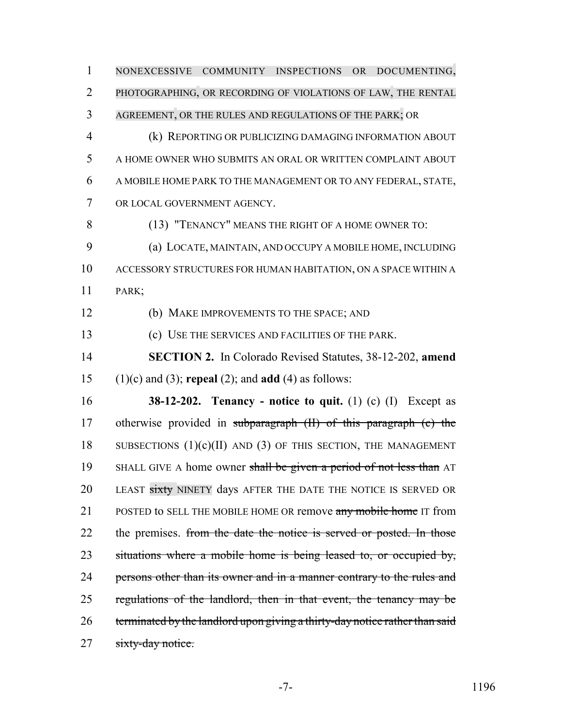PHOTOGRAPHING, OR RECORDING OF VIOLATIONS OF LAW, THE RENTAL AGREEMENT, OR THE RULES AND REGULATIONS OF THE PARK; OR (k) REPORTING OR PUBLICIZING DAMAGING INFORMATION ABOUT A HOME OWNER WHO SUBMITS AN ORAL OR WRITTEN COMPLAINT ABOUT A MOBILE HOME PARK TO THE MANAGEMENT OR TO ANY FEDERAL, STATE, OR LOCAL GOVERNMENT AGENCY. (13) "TENANCY" MEANS THE RIGHT OF A HOME OWNER TO: (a) LOCATE, MAINTAIN, AND OCCUPY A MOBILE HOME, INCLUDING ACCESSORY STRUCTURES FOR HUMAN HABITATION, ON A SPACE WITHIN A PARK; (b) MAKE IMPROVEMENTS TO THE SPACE; AND (c) USE THE SERVICES AND FACILITIES OF THE PARK. **SECTION 2.** In Colorado Revised Statutes, 38-12-202, **amend** (1)(c) and (3); **repeal** (2); and **add** (4) as follows: **38-12-202. Tenancy - notice to quit.** (1) (c) (I) Except as otherwise provided in subparagraph (II) of this paragraph (c) the 18 SUBSECTIONS  $(1)(c)(II)$  and  $(3)$  of this section, the Management 19 SHALL GIVE A home owner shall be given a period of not less than AT 20 LEAST sixty NINETY days AFTER THE DATE THE NOTICE IS SERVED OR 21 POSTED to SELL THE MOBILE HOME OR remove any mobile home IT from 22 the premises. from the date the notice is served or posted. In those 23 situations where a mobile home is being leased to, or occupied by, 24 persons other than its owner and in a manner contrary to the rules and

NONEXCESSIVE COMMUNITY INSPECTIONS OR DOCUMENTING,

26 terminated by the landlord upon giving a thirty-day notice rather than said 27 sixty-day notice.

regulations of the landlord, then in that event, the tenancy may be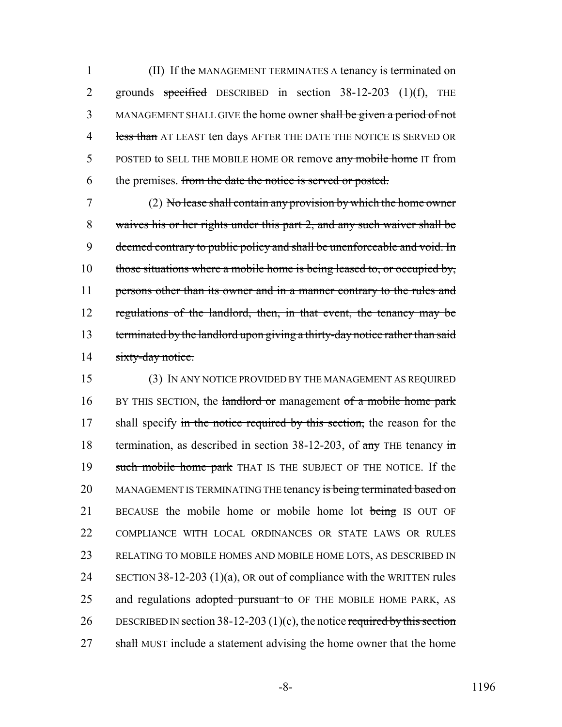1 (II) If the MANAGEMENT TERMINATES A tenancy is terminated on 2 grounds specified DESCRIBED in section 38-12-203 (1)(f), THE 3 MANAGEMENT SHALL GIVE the home owner shall be given a period of not 4 less than AT LEAST ten days AFTER THE DATE THE NOTICE IS SERVED OR 5 POSTED to SELL THE MOBILE HOME OR remove any mobile home IT from 6 the premises. from the date the notice is served or posted.

7 (2) No lease shall contain any provision by which the home owner 8 waives his or her rights under this part 2, and any such waiver shall be 9 deemed contrary to public policy and shall be unenforceable and void. In 10 those situations where a mobile home is being leased to, or occupied by, 11 persons other than its owner and in a manner contrary to the rules and 12 regulations of the landlord, then, in that event, the tenancy may be 13 terminated by the landlord upon giving a thirty-day notice rather than said 14 sixty-day notice.

15 (3) IN ANY NOTICE PROVIDED BY THE MANAGEMENT AS REQUIRED 16 BY THIS SECTION, the landlord or management of a mobile home park 17 shall specify in the notice required by this section, the reason for the 18 termination, as described in section 38-12-203, of any THE tenancy in 19 such mobile home park THAT IS THE SUBJECT OF THE NOTICE. If the 20 MANAGEMENT IS TERMINATING THE tenancy is being terminated based on 21 BECAUSE the mobile home or mobile home lot being IS OUT OF 22 COMPLIANCE WITH LOCAL ORDINANCES OR STATE LAWS OR RULES 23 RELATING TO MOBILE HOMES AND MOBILE HOME LOTS, AS DESCRIBED IN 24 SECTION 38-12-203 (1)(a), OR out of compliance with the WRITTEN rules 25 and regulations adopted pursuant to OF THE MOBILE HOME PARK, AS 26 DESCRIBED IN section  $38-12-203(1)(c)$ , the notice required by this section 27 shall MUST include a statement advising the home owner that the home

-8- 1196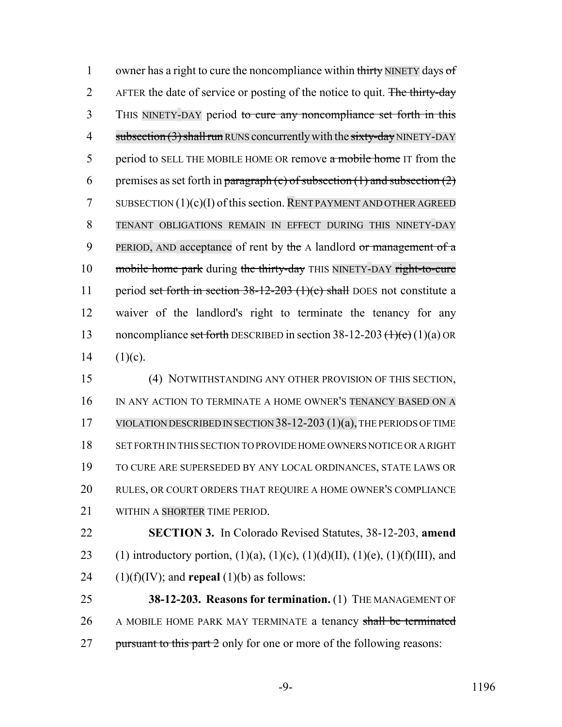1 owner has a right to cure the noncompliance within thirty NINETY days of 2 AFTER the date of service or posting of the notice to quit. The thirty-day 3 THIS NINETY-DAY period to cure any noncompliance set forth in this 4 subsection (3) shall run RUNS concurrently with the sixty-day NINETY-DAY 5 period to SELL THE MOBILE HOME OR remove a mobile home IT from the 6 premises as set forth in paragraph (c) of subsection  $(1)$  and subsection  $(2)$ 7 SUBSECTION  $(1)(c)(I)$  of this section. RENT PAYMENT AND OTHER AGREED 8 TENANT OBLIGATIONS REMAIN IN EFFECT DURING THIS NINETY-DAY 9 PERIOD, AND acceptance of rent by the A landlord or management of a 10 mobile home park during the thirty-day THIS NINETY-DAY right-to-cure 11 period set forth in section 38-12-203 (1)(c) shall DOES not constitute a 12 waiver of the landlord's right to terminate the tenancy for any 13 noncompliance set forth DESCRIBED in section  $38-12-203 \frac{(\text{1})(\text{c})}{(\text{1})(\text{a})}$  OR 14  $(1)(c)$ .

 (4) NOTWITHSTANDING ANY OTHER PROVISION OF THIS SECTION, IN ANY ACTION TO TERMINATE A HOME OWNER'S TENANCY BASED ON A VIOLATION DESCRIBED IN SECTION 38-12-203 (1)(a), THE PERIODS OF TIME SET FORTH IN THIS SECTION TO PROVIDE HOME OWNERS NOTICE OR A RIGHT TO CURE ARE SUPERSEDED BY ANY LOCAL ORDINANCES, STATE LAWS OR RULES, OR COURT ORDERS THAT REQUIRE A HOME OWNER'S COMPLIANCE 21 WITHIN A SHORTER TIME PERIOD.

22 **SECTION 3.** In Colorado Revised Statutes, 38-12-203, **amend** 23 (1) introductory portion,  $(1)(a)$ ,  $(1)(c)$ ,  $(1)(d)(II)$ ,  $(1)(e)$ ,  $(1)(f)(III)$ , and 24  $(1)(f)(IV)$ ; and **repeal**  $(1)(b)$  as follows:

25 **38-12-203. Reasons for termination.** (1) THE MANAGEMENT OF 26 A MOBILE HOME PARK MAY TERMINATE a tenancy shall be terminated 27 pursuant to this part 2 only for one or more of the following reasons: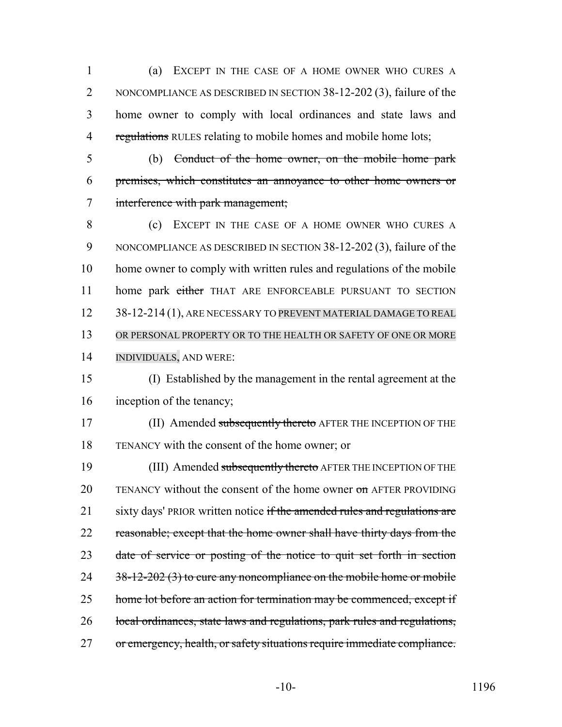1 (a) EXCEPT IN THE CASE OF A HOME OWNER WHO CURES A 2 NONCOMPLIANCE AS DESCRIBED IN SECTION 38-12-202 (3), failure of the 3 home owner to comply with local ordinances and state laws and 4 regulations RULES relating to mobile homes and mobile home lots;

5 (b) Conduct of the home owner, on the mobile home park 6 premises, which constitutes an annoyance to other home owners or 7 interference with park management;

 (c) EXCEPT IN THE CASE OF A HOME OWNER WHO CURES A NONCOMPLIANCE AS DESCRIBED IN SECTION 38-12-202 (3), failure of the home owner to comply with written rules and regulations of the mobile 11 home park either THAT ARE ENFORCEABLE PURSUANT TO SECTION 12 38-12-214 (1), ARE NECESSARY TO PREVENT MATERIAL DAMAGE TO REAL OR PERSONAL PROPERTY OR TO THE HEALTH OR SAFETY OF ONE OR MORE INDIVIDUALS, AND WERE:

- 15 (I) Established by the management in the rental agreement at the 16 inception of the tenancy;
- 17 (II) Amended subsequently thereto AFTER THE INCEPTION OF THE 18 TENANCY with the consent of the home owner; or

19 (III) Amended subsequently thereto AFTER THE INCEPTION OF THE 20 TENANCY without the consent of the home owner on AFTER PROVIDING 21 sixty days' PRIOR written notice if the amended rules and regulations are 22 reasonable; except that the home owner shall have thirty days from the 23 date of service or posting of the notice to quit set forth in section  $24 \overline{38-12-202(3)}$  to cure any noncompliance on the mobile home or mobile 25 home lot before an action for termination may be commenced, except if 26 local ordinances, state laws and regulations, park rules and regulations, 27 or emergency, health, or safety situations require immediate compliance.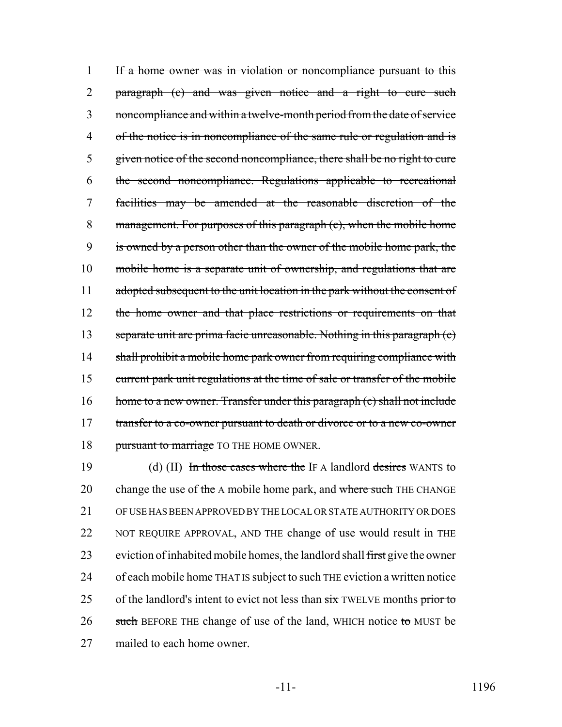1 If a home owner was in violation or noncompliance pursuant to this 2 paragraph (c) and was given notice and a right to cure such 3 noncompliance and within a twelve-month period from the date of service 4 of the notice is in noncompliance of the same rule or regulation and is 5 given notice of the second noncompliance, there shall be no right to cure 6 the second noncompliance. Regulations applicable to recreational 7 facilities may be amended at the reasonable discretion of the 8 management. For purposes of this paragraph (c), when the mobile home 9 is owned by a person other than the owner of the mobile home park, the 10 mobile home is a separate unit of ownership, and regulations that are 11 adopted subsequent to the unit location in the park without the consent of 12 the home owner and that place restrictions or requirements on that 13 separate unit are prima facie unreasonable. Nothing in this paragraph (c) 14 shall prohibit a mobile home park owner from requiring compliance with 15 current park unit regulations at the time of sale or transfer of the mobile 16 home to a new owner. Transfer under this paragraph (c) shall not include 17 transfer to a co-owner pursuant to death or divorce or to a new co-owner 18 pursuant to marriage TO THE HOME OWNER.

19 (d) (II) In those cases where the IF A landlord desires WANTS to 20 change the use of the A mobile home park, and where such THE CHANGE 21 OF USE HAS BEEN APPROVED BY THE LOCAL OR STATE AUTHORITY OR DOES 22 NOT REQUIRE APPROVAL, AND THE change of use would result in THE 23 eviction of inhabited mobile homes, the landlord shall first give the owner 24 of each mobile home THAT IS subject to such THE eviction a written notice 25 of the landlord's intent to evict not less than  $s$ ix TWELVE months prior to  $26$  such BEFORE THE change of use of the land, WHICH notice to MUST be 27 mailed to each home owner.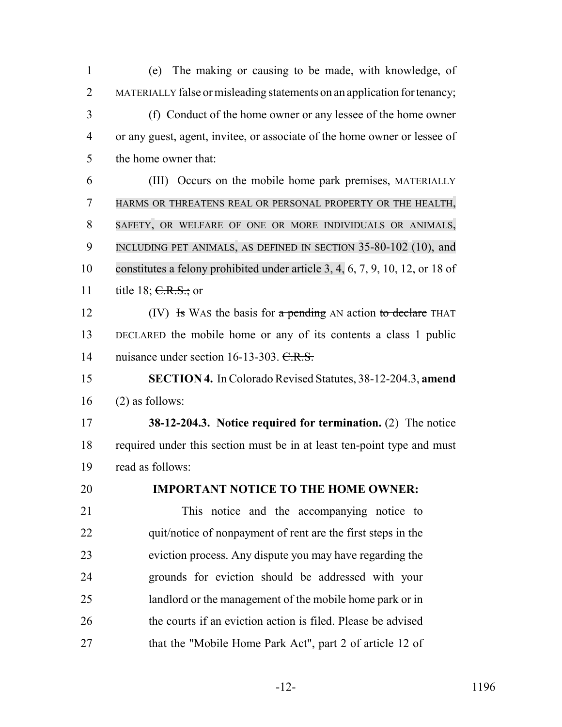(e) The making or causing to be made, with knowledge, of MATERIALLY false or misleading statements on an application for tenancy; (f) Conduct of the home owner or any lessee of the home owner or any guest, agent, invitee, or associate of the home owner or lessee of the home owner that: (III) Occurs on the mobile home park premises, MATERIALLY HARMS OR THREATENS REAL OR PERSONAL PROPERTY OR THE HEALTH, SAFETY, OR WELFARE OF ONE OR MORE INDIVIDUALS OR ANIMALS, 9 INCLUDING PET ANIMALS, AS DEFINED IN SECTION 35-80-102 (10), and constitutes a felony prohibited under article 3, 4, 6, 7, 9, 10, 12, or 18 of 11 title 18;  $C.R.S.;$  or 12 (IV) Is WAS the basis for a pending AN action to declare THAT DECLARED the mobile home or any of its contents a class 1 public 14 nuisance under section 16-13-303. C.R.S. **SECTION 4.** In Colorado Revised Statutes, 38-12-204.3, **amend** (2) as follows: **38-12-204.3. Notice required for termination.** (2) The notice required under this section must be in at least ten-point type and must read as follows: **IMPORTANT NOTICE TO THE HOME OWNER:** This notice and the accompanying notice to 22 quit/notice of nonpayment of rent are the first steps in the eviction process. Any dispute you may have regarding the grounds for eviction should be addressed with your landlord or the management of the mobile home park or in 26 the courts if an eviction action is filed. Please be advised that the "Mobile Home Park Act", part 2 of article 12 of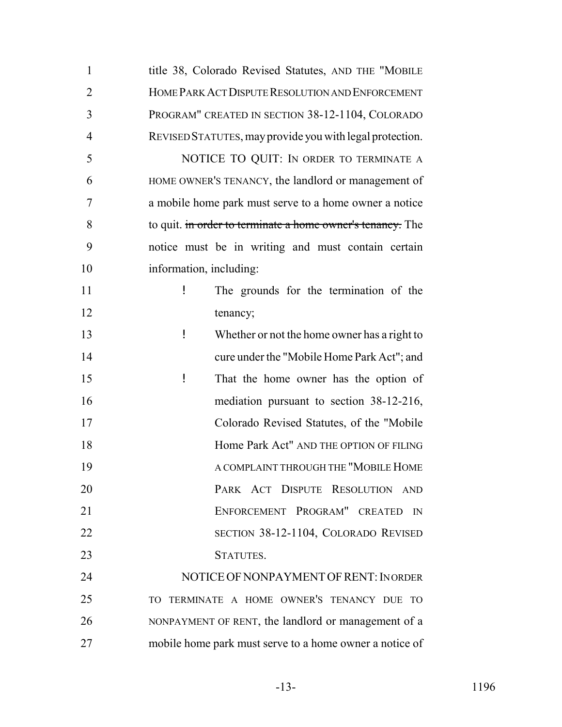| $\mathbf{1}$   | title 38, Colorado Revised Statutes, AND THE "MOBILE       |
|----------------|------------------------------------------------------------|
| $\overline{2}$ | HOME PARK ACT DISPUTE RESOLUTION AND ENFORCEMENT           |
| 3              | PROGRAM" CREATED IN SECTION 38-12-1104, COLORADO           |
| $\overline{4}$ | REVISED STATUTES, may provide you with legal protection.   |
| 5              | NOTICE TO QUIT: IN ORDER TO TERMINATE A                    |
| 6              | HOME OWNER'S TENANCY, the landlord or management of        |
| 7              | a mobile home park must serve to a home owner a notice     |
| 8              | to quit. in order to terminate a home owner's tenancy. The |
| 9              | notice must be in writing and must contain certain         |
| 10             | information, including:                                    |
| 11             | ļ<br>The grounds for the termination of the                |
| 12             | tenancy;                                                   |
| 13             | ļ<br>Whether or not the home owner has a right to          |
| 14             | cure under the "Mobile Home Park Act"; and                 |
| 15             | ļ<br>That the home owner has the option of                 |
| 16             | mediation pursuant to section 38-12-216,                   |
| 17             | Colorado Revised Statutes, of the "Mobile                  |
| 18             | Home Park Act" AND THE OPTION OF FILING                    |
| 19             | A COMPLAINT THROUGH THE "MOBILE HOME                       |
| 20             | PARK ACT DISPUTE RESOLUTION AND                            |
| 21             | ENFORCEMENT PROGRAM" CREATED<br>$\mathbb{N}$               |
| 22             | SECTION 38-12-1104, COLORADO REVISED                       |
| 23             | STATUTES.                                                  |
| 24             | NOTICE OF NONPAYMENT OF RENT: INORDER                      |
| 25             | TO TERMINATE A HOME OWNER'S TENANCY DUE TO                 |
| 26             | NONPAYMENT OF RENT, the landlord or management of a        |
| 27             | mobile home park must serve to a home owner a notice of    |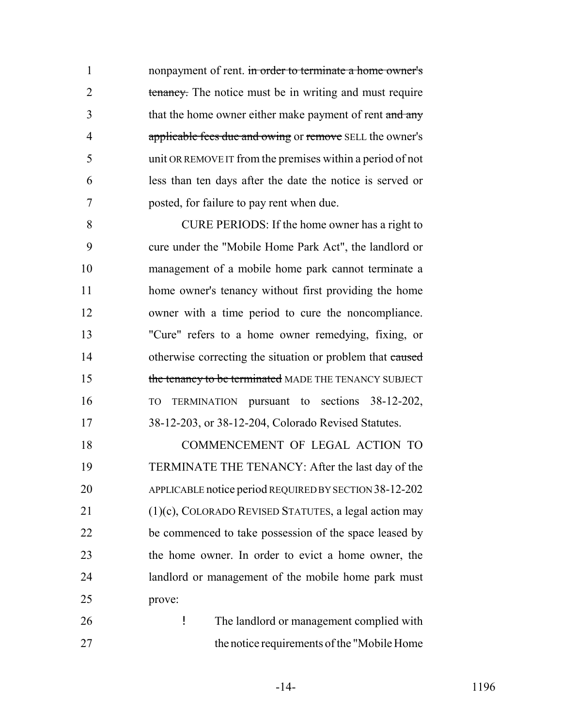1 nonpayment of rent. in order to terminate a home owner's 2 tenancy. The notice must be in writing and must require 3 that the home owner either make payment of rent and any 4 applicable fees due and owing or remove SELL the owner's unit OR REMOVE IT from the premises within a period of not less than ten days after the date the notice is served or posted, for failure to pay rent when due.

 CURE PERIODS: If the home owner has a right to cure under the "Mobile Home Park Act", the landlord or management of a mobile home park cannot terminate a home owner's tenancy without first providing the home owner with a time period to cure the noncompliance. "Cure" refers to a home owner remedying, fixing, or 14 otherwise correcting the situation or problem that caused 15 the tenancy to be terminated MADE THE TENANCY SUBJECT TO TERMINATION pursuant to sections 38-12-202, 38-12-203, or 38-12-204, Colorado Revised Statutes.

 COMMENCEMENT OF LEGAL ACTION TO TERMINATE THE TENANCY: After the last day of the APPLICABLE notice period REQUIRED BY SECTION 38-12-202 (1)(c), COLORADO REVISED STATUTES, a legal action may be commenced to take possession of the space leased by the home owner. In order to evict a home owner, the landlord or management of the mobile home park must prove:

 ! The landlord or management complied with the notice requirements of the "Mobile Home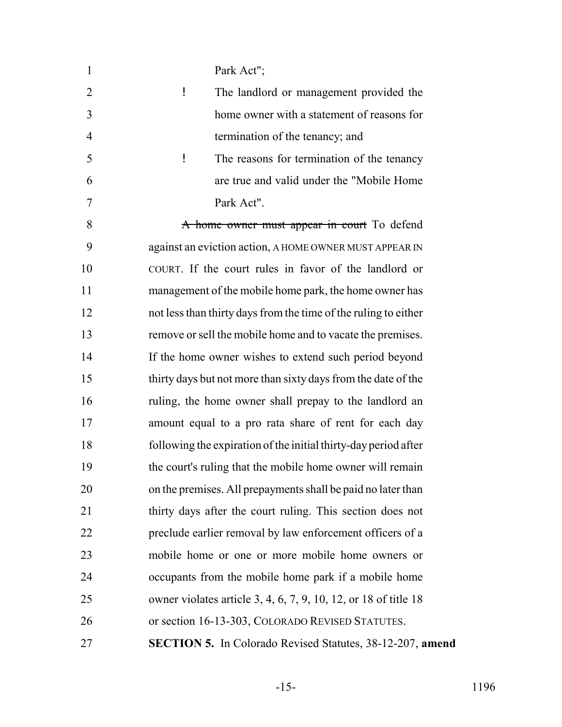| $\mathbf{1}$   | Park Act";                                                       |
|----------------|------------------------------------------------------------------|
| $\overline{2}$ | Ţ<br>The landlord or management provided the                     |
| 3              | home owner with a statement of reasons for                       |
| 4              | termination of the tenancy; and                                  |
| 5              | ļ<br>The reasons for termination of the tenancy                  |
| 6              | are true and valid under the "Mobile Home                        |
| 7              | Park Act".                                                       |
| 8              | A home owner must appear in court To defend                      |
| 9              | against an eviction action, A HOME OWNER MUST APPEAR IN          |
| 10             | COURT. If the court rules in favor of the landlord or            |
| 11             | management of the mobile home park, the home owner has           |
| 12             | not less than thirty days from the time of the ruling to either  |
| 13             | remove or sell the mobile home and to vacate the premises.       |
| 14             | If the home owner wishes to extend such period beyond            |
| 15             | thirty days but not more than sixty days from the date of the    |
| 16             | ruling, the home owner shall prepay to the landlord an           |
| 17             | amount equal to a pro rata share of rent for each day            |
| 18             | following the expiration of the initial thirty-day period after  |
| 19             | the court's ruling that the mobile home owner will remain        |
| 20             | on the premises. All prepayments shall be paid no later than     |
| 21             | thirty days after the court ruling. This section does not        |
| 22             | preclude earlier removal by law enforcement officers of a        |
| 23             | mobile home or one or more mobile home owners or                 |
| 24             | occupants from the mobile home park if a mobile home             |
| 25             | owner violates article 3, 4, 6, 7, 9, 10, 12, or 18 of title 18  |
| 26             | or section 16-13-303, COLORADO REVISED STATUTES.                 |
| 27             | <b>SECTION 5.</b> In Colorado Revised Statutes, 38-12-207, amend |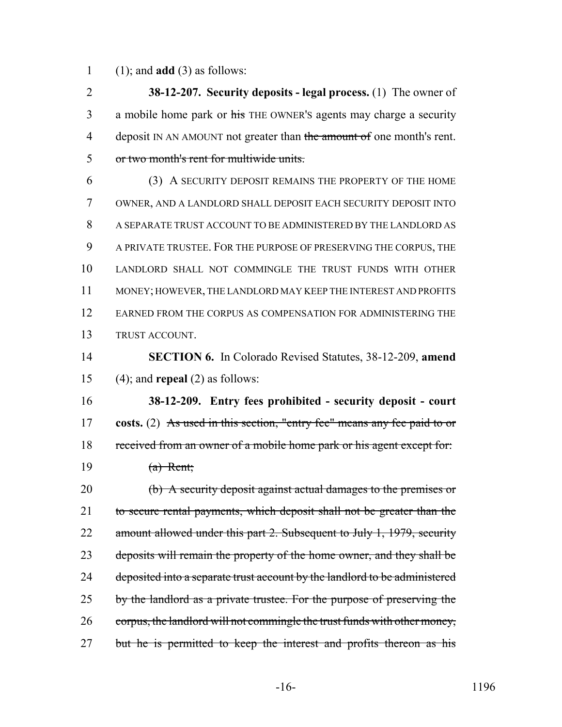(1); and **add** (3) as follows:

 **38-12-207. Security deposits - legal process.** (1) The owner of 3 a mobile home park or his THE OWNER's agents may charge a security 4 deposit IN AN AMOUNT not greater than the amount of one month's rent. or two month's rent for multiwide units.

 (3) A SECURITY DEPOSIT REMAINS THE PROPERTY OF THE HOME OWNER, AND A LANDLORD SHALL DEPOSIT EACH SECURITY DEPOSIT INTO A SEPARATE TRUST ACCOUNT TO BE ADMINISTERED BY THE LANDLORD AS A PRIVATE TRUSTEE. FOR THE PURPOSE OF PRESERVING THE CORPUS, THE LANDLORD SHALL NOT COMMINGLE THE TRUST FUNDS WITH OTHER MONEY; HOWEVER, THE LANDLORD MAY KEEP THE INTEREST AND PROFITS EARNED FROM THE CORPUS AS COMPENSATION FOR ADMINISTERING THE TRUST ACCOUNT.

 **SECTION 6.** In Colorado Revised Statutes, 38-12-209, **amend** (4); and **repeal** (2) as follows:

 **38-12-209. Entry fees prohibited - security deposit - court costs.** (2) As used in this section, "entry fee" means any fee paid to or received from an owner of a mobile home park or his agent except for: (a) Rent;

 (b) A security deposit against actual damages to the premises or 21 to secure rental payments, which deposit shall not be greater than the 22 amount allowed under this part 2. Subsequent to July 1, 1979, security 23 deposits will remain the property of the home owner, and they shall be 24 deposited into a separate trust account by the landlord to be administered 25 by the landlord as a private trustee. For the purpose of preserving the corpus, the landlord will not commingle the trust funds with other money, 27 but he is permitted to keep the interest and profits thereon as his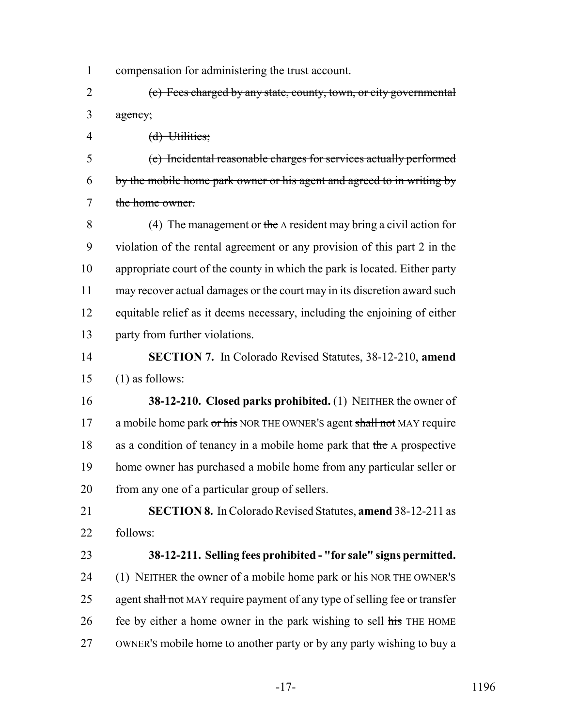- compensation for administering the trust account.
- (c) Fees charged by any state, county, town, or city governmental agency;
- (d) Utilities;

 (e) Incidental reasonable charges for services actually performed by the mobile home park owner or his agent and agreed to in writing by the home owner.

 (4) The management or the A resident may bring a civil action for violation of the rental agreement or any provision of this part 2 in the appropriate court of the county in which the park is located. Either party may recover actual damages or the court may in its discretion award such equitable relief as it deems necessary, including the enjoining of either party from further violations.

 **SECTION 7.** In Colorado Revised Statutes, 38-12-210, **amend** (1) as follows:

 **38-12-210. Closed parks prohibited.** (1) NEITHER the owner of 17 a mobile home park or his NOR THE OWNER's agent shall not MAY require 18 as a condition of tenancy in a mobile home park that the A prospective home owner has purchased a mobile home from any particular seller or from any one of a particular group of sellers.

 **SECTION 8.** In Colorado Revised Statutes, **amend** 38-12-211 as follows:

 **38-12-211. Selling fees prohibited - "for sale" signs permitted.** 24 (1) NEITHER the owner of a mobile home park or his NOR THE OWNER'S 25 agent shall not MAY require payment of any type of selling fee or transfer 26 fee by either a home owner in the park wishing to sell his THE HOME OWNER'S mobile home to another party or by any party wishing to buy a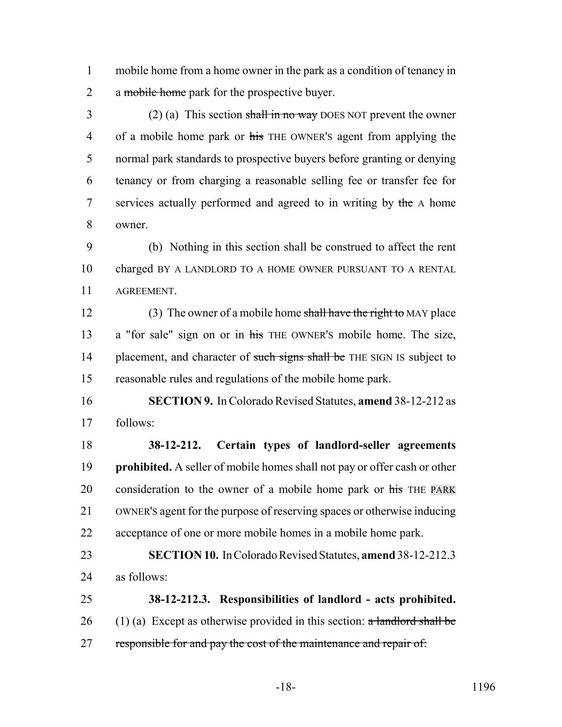mobile home from a home owner in the park as a condition of tenancy in 2 a mobile home park for the prospective buyer.

 (2) (a) This section shall in no way DOES NOT prevent the owner 4 of a mobile home park or his THE OWNER's agent from applying the normal park standards to prospective buyers before granting or denying tenancy or from charging a reasonable selling fee or transfer fee for 7 services actually performed and agreed to in writing by the A home owner.

 (b) Nothing in this section shall be construed to affect the rent charged BY A LANDLORD TO A HOME OWNER PURSUANT TO A RENTAL AGREEMENT.

12 (3) The owner of a mobile home shall have the right to MAY place 13 a "for sale" sign on or in his THE OWNER's mobile home. The size, 14 placement, and character of such signs shall be THE SIGN IS subject to reasonable rules and regulations of the mobile home park.

 **SECTION 9.** In Colorado Revised Statutes, **amend** 38-12-212 as follows:

 **38-12-212. Certain types of landlord-seller agreements prohibited.** A seller of mobile homes shall not pay or offer cash or other 20 consideration to the owner of a mobile home park or his THE PARK OWNER'S agent for the purpose of reserving spaces or otherwise inducing acceptance of one or more mobile homes in a mobile home park.

 **SECTION 10.** In Colorado Revised Statutes, **amend** 38-12-212.3 as follows:

 **38-12-212.3. Responsibilities of landlord - acts prohibited.** 26 (1) (a) Except as otherwise provided in this section:  $\alpha$  landlord shall be 27 responsible for and pay the cost of the maintenance and repair of: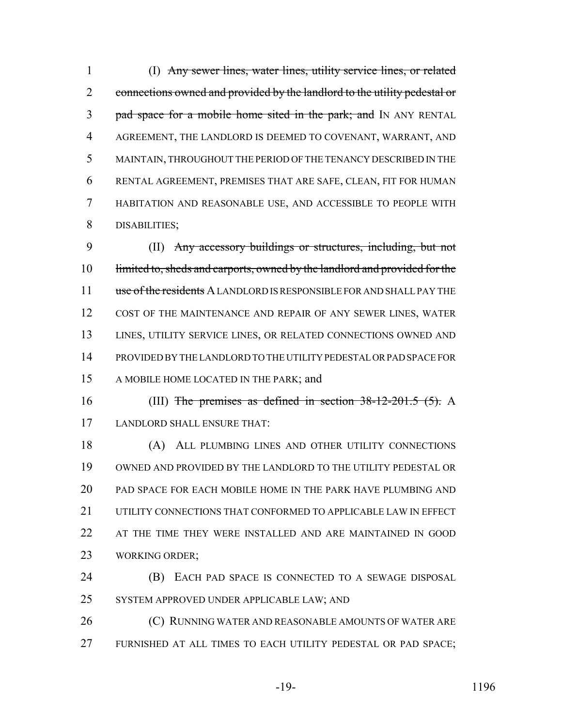(I) Any sewer lines, water lines, utility service lines, or related 2 connections owned and provided by the landlord to the utility pedestal or 3 pad space for a mobile home sited in the park; and IN ANY RENTAL AGREEMENT, THE LANDLORD IS DEEMED TO COVENANT, WARRANT, AND MAINTAIN, THROUGHOUT THE PERIOD OF THE TENANCY DESCRIBED IN THE RENTAL AGREEMENT, PREMISES THAT ARE SAFE, CLEAN, FIT FOR HUMAN HABITATION AND REASONABLE USE, AND ACCESSIBLE TO PEOPLE WITH DISABILITIES;

 (II) Any accessory buildings or structures, including, but not 10 limited to, sheds and carports, owned by the landlord and provided for the 11 use of the residents A LANDLORD IS RESPONSIBLE FOR AND SHALL PAY THE COST OF THE MAINTENANCE AND REPAIR OF ANY SEWER LINES, WATER LINES, UTILITY SERVICE LINES, OR RELATED CONNECTIONS OWNED AND PROVIDED BY THE LANDLORD TO THE UTILITY PEDESTAL OR PAD SPACE FOR A MOBILE HOME LOCATED IN THE PARK; and

16 (III) The premises as defined in section  $38-12-201.5$  (5). A LANDLORD SHALL ENSURE THAT:

 (A) ALL PLUMBING LINES AND OTHER UTILITY CONNECTIONS OWNED AND PROVIDED BY THE LANDLORD TO THE UTILITY PEDESTAL OR PAD SPACE FOR EACH MOBILE HOME IN THE PARK HAVE PLUMBING AND 21 UTILITY CONNECTIONS THAT CONFORMED TO APPLICABLE LAW IN EFFECT 22 AT THE TIME THEY WERE INSTALLED AND ARE MAINTAINED IN GOOD WORKING ORDER;

 (B) EACH PAD SPACE IS CONNECTED TO A SEWAGE DISPOSAL SYSTEM APPROVED UNDER APPLICABLE LAW; AND

26 (C) RUNNING WATER AND REASONABLE AMOUNTS OF WATER ARE FURNISHED AT ALL TIMES TO EACH UTILITY PEDESTAL OR PAD SPACE;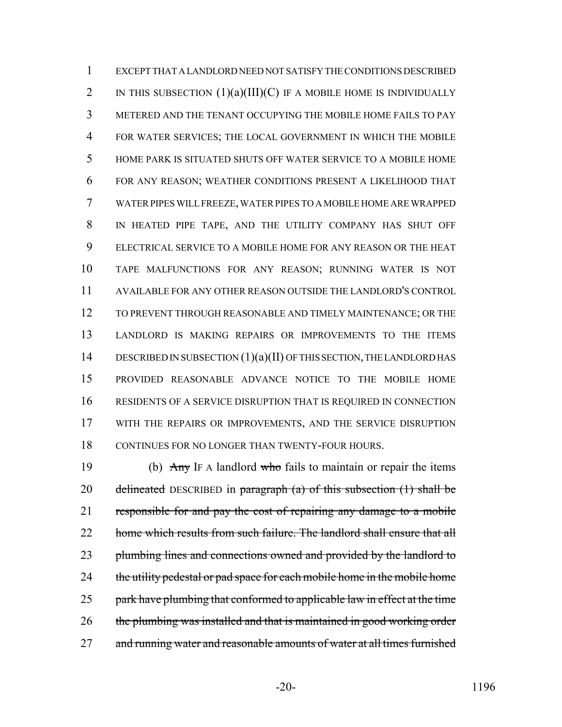EXCEPT THAT A LANDLORD NEED NOT SATISFY THE CONDITIONS DESCRIBED 2 IN THIS SUBSECTION  $(1)(a)(III)(C)$  IF A MOBILE HOME IS INDIVIDUALLY METERED AND THE TENANT OCCUPYING THE MOBILE HOME FAILS TO PAY FOR WATER SERVICES; THE LOCAL GOVERNMENT IN WHICH THE MOBILE HOME PARK IS SITUATED SHUTS OFF WATER SERVICE TO A MOBILE HOME FOR ANY REASON; WEATHER CONDITIONS PRESENT A LIKELIHOOD THAT WATER PIPES WILL FREEZE, WATER PIPES TO A MOBILE HOME ARE WRAPPED IN HEATED PIPE TAPE, AND THE UTILITY COMPANY HAS SHUT OFF ELECTRICAL SERVICE TO A MOBILE HOME FOR ANY REASON OR THE HEAT TAPE MALFUNCTIONS FOR ANY REASON; RUNNING WATER IS NOT AVAILABLE FOR ANY OTHER REASON OUTSIDE THE LANDLORD'S CONTROL TO PREVENT THROUGH REASONABLE AND TIMELY MAINTENANCE; OR THE LANDLORD IS MAKING REPAIRS OR IMPROVEMENTS TO THE ITEMS 14 DESCRIBED IN SUBSECTION (1)(a)(II) OF THIS SECTION, THE LANDLORD HAS PROVIDED REASONABLE ADVANCE NOTICE TO THE MOBILE HOME RESIDENTS OF A SERVICE DISRUPTION THAT IS REQUIRED IN CONNECTION WITH THE REPAIRS OR IMPROVEMENTS, AND THE SERVICE DISRUPTION CONTINUES FOR NO LONGER THAN TWENTY-FOUR HOURS.

19 (b)  $\Delta ny$  IF A landlord who fails to maintain or repair the items 20 delineated DESCRIBED in paragraph  $(a)$  of this subsection  $(1)$  shall be responsible for and pay the cost of repairing any damage to a mobile 22 home which results from such failure. The landlord shall ensure that all 23 plumbing lines and connections owned and provided by the landlord to 24 the utility pedestal or pad space for each mobile home in the mobile home 25 park have plumbing that conformed to applicable law in effect at the time 26 the plumbing was installed and that is maintained in good working order 27 and running water and reasonable amounts of water at all times furnished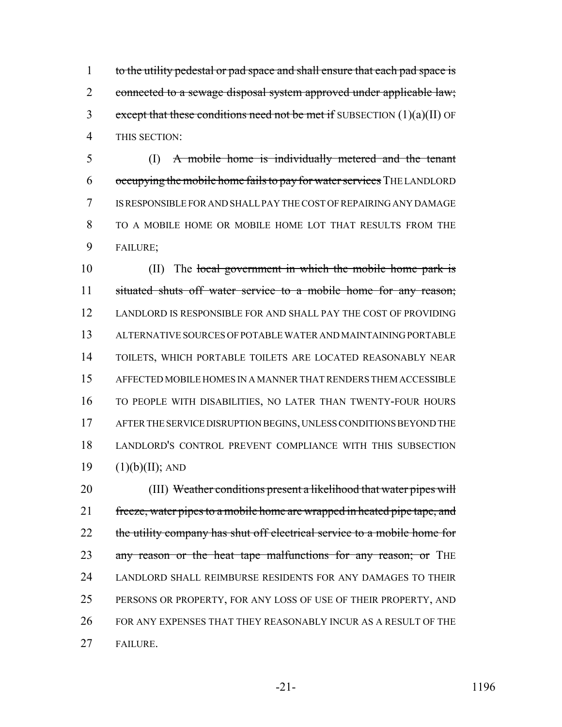1 to the utility pedestal or pad space and shall ensure that each pad space is 2 connected to a sewage disposal system approved under applicable law; 3 except that these conditions need not be met if SUBSECTION  $(1)(a)(II)$  OF THIS SECTION:

 (I) A mobile home is individually metered and the tenant occupying the mobile home fails to pay for water services THE LANDLORD IS RESPONSIBLE FOR AND SHALL PAY THE COST OF REPAIRING ANY DAMAGE TO A MOBILE HOME OR MOBILE HOME LOT THAT RESULTS FROM THE FAILURE;

10 (II) The local government in which the mobile home park is situated shuts off water service to a mobile home for any reason; LANDLORD IS RESPONSIBLE FOR AND SHALL PAY THE COST OF PROVIDING ALTERNATIVE SOURCES OF POTABLE WATER AND MAINTAINING PORTABLE TOILETS, WHICH PORTABLE TOILETS ARE LOCATED REASONABLY NEAR AFFECTED MOBILE HOMES IN A MANNER THAT RENDERS THEM ACCESSIBLE TO PEOPLE WITH DISABILITIES, NO LATER THAN TWENTY-FOUR HOURS AFTER THE SERVICE DISRUPTION BEGINS, UNLESS CONDITIONS BEYOND THE LANDLORD'S CONTROL PREVENT COMPLIANCE WITH THIS SUBSECTION  $(1)(b)(II)$ ; AND

 (III) Weather conditions present a likelihood that water pipes will 21 freeze, water pipes to a mobile home are wrapped in heated pipe tape, and 22 the utility company has shut off electrical service to a mobile home for 23 any reason or the heat tape malfunctions for any reason; or THE LANDLORD SHALL REIMBURSE RESIDENTS FOR ANY DAMAGES TO THEIR PERSONS OR PROPERTY, FOR ANY LOSS OF USE OF THEIR PROPERTY, AND FOR ANY EXPENSES THAT THEY REASONABLY INCUR AS A RESULT OF THE FAILURE.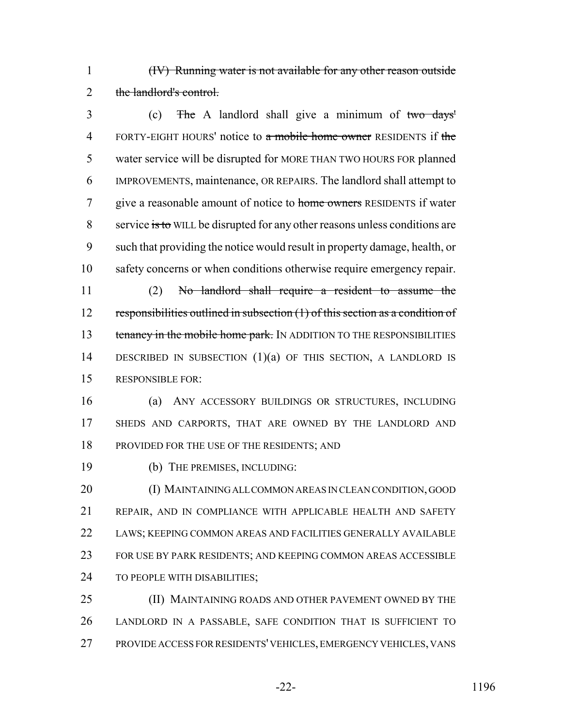(IV) Running water is not available for any other reason outside 2 the landlord's control.

 (c) The A landlord shall give a minimum of two days' 4 FORTY-EIGHT HOURS' notice to a mobile home owner RESIDENTS if the water service will be disrupted for MORE THAN TWO HOURS FOR planned IMPROVEMENTS, maintenance, OR REPAIRS. The landlord shall attempt to 7 give a reasonable amount of notice to home owners RESIDENTS if water 8 service is to WILL be disrupted for any other reasons unless conditions are such that providing the notice would result in property damage, health, or safety concerns or when conditions otherwise require emergency repair.

 (2) No landlord shall require a resident to assume the responsibilities outlined in subsection (1) of this section as a condition of 13 tenancy in the mobile home park. IN ADDITION TO THE RESPONSIBILITIES DESCRIBED IN SUBSECTION (1)(a) OF THIS SECTION, A LANDLORD IS RESPONSIBLE FOR:

 (a) ANY ACCESSORY BUILDINGS OR STRUCTURES, INCLUDING SHEDS AND CARPORTS, THAT ARE OWNED BY THE LANDLORD AND PROVIDED FOR THE USE OF THE RESIDENTS; AND

(b) THE PREMISES, INCLUDING:

 (I) MAINTAINING ALL COMMON AREAS IN CLEAN CONDITION, GOOD REPAIR, AND IN COMPLIANCE WITH APPLICABLE HEALTH AND SAFETY LAWS; KEEPING COMMON AREAS AND FACILITIES GENERALLY AVAILABLE FOR USE BY PARK RESIDENTS; AND KEEPING COMMON AREAS ACCESSIBLE TO PEOPLE WITH DISABILITIES;

25 (II) MAINTAINING ROADS AND OTHER PAVEMENT OWNED BY THE LANDLORD IN A PASSABLE, SAFE CONDITION THAT IS SUFFICIENT TO PROVIDE ACCESS FOR RESIDENTS' VEHICLES, EMERGENCY VEHICLES, VANS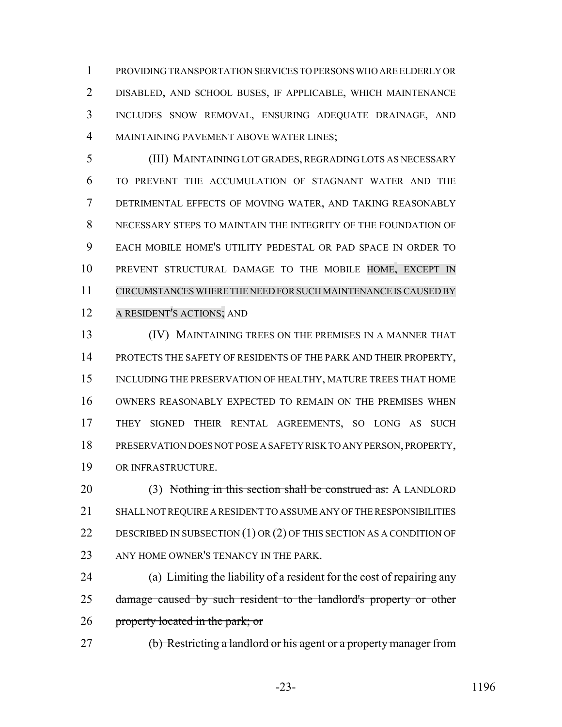PROVIDING TRANSPORTATION SERVICES TO PERSONS WHO ARE ELDERLY OR DISABLED, AND SCHOOL BUSES, IF APPLICABLE, WHICH MAINTENANCE INCLUDES SNOW REMOVAL, ENSURING ADEQUATE DRAINAGE, AND MAINTAINING PAVEMENT ABOVE WATER LINES;

 (III) MAINTAINING LOT GRADES, REGRADING LOTS AS NECESSARY TO PREVENT THE ACCUMULATION OF STAGNANT WATER AND THE DETRIMENTAL EFFECTS OF MOVING WATER, AND TAKING REASONABLY NECESSARY STEPS TO MAINTAIN THE INTEGRITY OF THE FOUNDATION OF EACH MOBILE HOME'S UTILITY PEDESTAL OR PAD SPACE IN ORDER TO PREVENT STRUCTURAL DAMAGE TO THE MOBILE HOME, EXCEPT IN CIRCUMSTANCES WHERE THE NEED FOR SUCH MAINTENANCE IS CAUSED BY A RESIDENT'S ACTIONS; AND

 (IV) MAINTAINING TREES ON THE PREMISES IN A MANNER THAT 14 PROTECTS THE SAFETY OF RESIDENTS OF THE PARK AND THEIR PROPERTY, 15 INCLUDING THE PRESERVATION OF HEALTHY, MATURE TREES THAT HOME OWNERS REASONABLY EXPECTED TO REMAIN ON THE PREMISES WHEN THEY SIGNED THEIR RENTAL AGREEMENTS, SO LONG AS SUCH PRESERVATION DOES NOT POSE A SAFETY RISK TO ANY PERSON, PROPERTY, OR INFRASTRUCTURE.

20 (3) Nothing in this section shall be construed as: A LANDLORD SHALL NOT REQUIRE A RESIDENT TO ASSUME ANY OF THE RESPONSIBILITIES DESCRIBED IN SUBSECTION (1) OR (2) OF THIS SECTION AS A CONDITION OF 23 ANY HOME OWNER'S TENANCY IN THE PARK.

24 (a) Limiting the liability of a resident for the cost of repairing any 25 damage caused by such resident to the landlord's property or other 26 property located in the park; or

(b) Restricting a landlord or his agent or a property manager from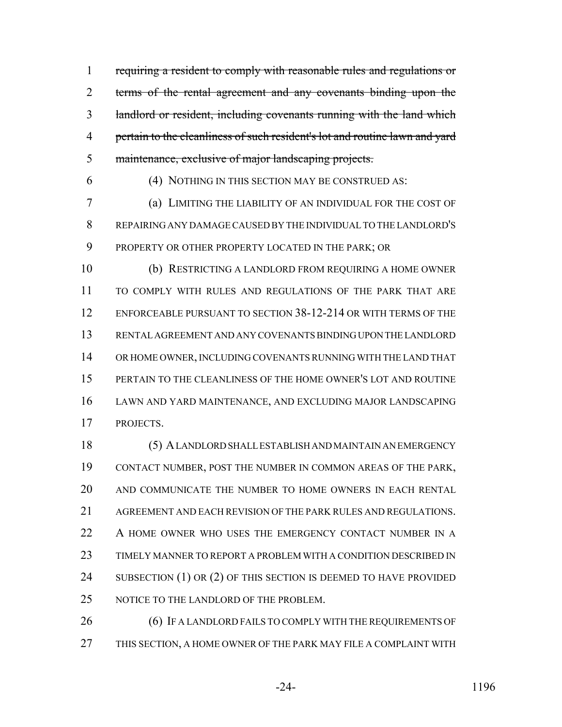1 requiring a resident to comply with reasonable rules and regulations or terms of the rental agreement and any covenants binding upon the landlord or resident, including covenants running with the land which pertain to the cleanliness of such resident's lot and routine lawn and yard maintenance, exclusive of major landscaping projects.

(4) NOTHING IN THIS SECTION MAY BE CONSTRUED AS:

 (a) LIMITING THE LIABILITY OF AN INDIVIDUAL FOR THE COST OF REPAIRING ANY DAMAGE CAUSED BY THE INDIVIDUAL TO THE LANDLORD'S PROPERTY OR OTHER PROPERTY LOCATED IN THE PARK; OR

 (b) RESTRICTING A LANDLORD FROM REQUIRING A HOME OWNER TO COMPLY WITH RULES AND REGULATIONS OF THE PARK THAT ARE ENFORCEABLE PURSUANT TO SECTION 38-12-214 OR WITH TERMS OF THE RENTAL AGREEMENT AND ANY COVENANTS BINDING UPON THE LANDLORD OR HOME OWNER, INCLUDING COVENANTS RUNNING WITH THE LAND THAT PERTAIN TO THE CLEANLINESS OF THE HOME OWNER'S LOT AND ROUTINE LAWN AND YARD MAINTENANCE, AND EXCLUDING MAJOR LANDSCAPING PROJECTS.

 (5) A LANDLORD SHALL ESTABLISH AND MAINTAIN AN EMERGENCY CONTACT NUMBER, POST THE NUMBER IN COMMON AREAS OF THE PARK, AND COMMUNICATE THE NUMBER TO HOME OWNERS IN EACH RENTAL AGREEMENT AND EACH REVISION OF THE PARK RULES AND REGULATIONS. 22 A HOME OWNER WHO USES THE EMERGENCY CONTACT NUMBER IN A TIMELY MANNER TO REPORT A PROBLEM WITH A CONDITION DESCRIBED IN 24 SUBSECTION (1) OR (2) OF THIS SECTION IS DEEMED TO HAVE PROVIDED 25 NOTICE TO THE LANDLORD OF THE PROBLEM.

26 (6) IF A LANDLORD FAILS TO COMPLY WITH THE REQUIREMENTS OF THIS SECTION, A HOME OWNER OF THE PARK MAY FILE A COMPLAINT WITH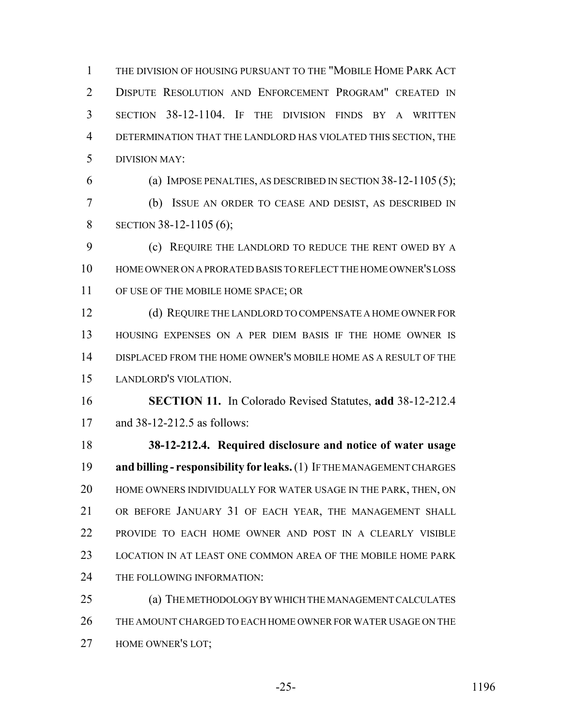THE DIVISION OF HOUSING PURSUANT TO THE "MOBILE HOME PARK ACT DISPUTE RESOLUTION AND ENFORCEMENT PROGRAM" CREATED IN SECTION 38-12-1104. IF THE DIVISION FINDS BY A WRITTEN DETERMINATION THAT THE LANDLORD HAS VIOLATED THIS SECTION, THE DIVISION MAY:

(a) IMPOSE PENALTIES, AS DESCRIBED IN SECTION 38-12-1105 (5);

 (b) ISSUE AN ORDER TO CEASE AND DESIST, AS DESCRIBED IN 8 SECTION 38-12-1105 (6);

 (c) REQUIRE THE LANDLORD TO REDUCE THE RENT OWED BY A HOME OWNER ON A PRORATED BASIS TO REFLECT THE HOME OWNER'S LOSS OF USE OF THE MOBILE HOME SPACE; OR

 (d) REQUIRE THE LANDLORD TO COMPENSATE A HOME OWNER FOR HOUSING EXPENSES ON A PER DIEM BASIS IF THE HOME OWNER IS DISPLACED FROM THE HOME OWNER'S MOBILE HOME AS A RESULT OF THE LANDLORD'S VIOLATION.

 **SECTION 11.** In Colorado Revised Statutes, **add** 38-12-212.4 and 38-12-212.5 as follows:

 **38-12-212.4. Required disclosure and notice of water usage and billing - responsibility for leaks.** (1) IF THE MANAGEMENT CHARGES HOME OWNERS INDIVIDUALLY FOR WATER USAGE IN THE PARK, THEN, ON OR BEFORE JANUARY 31 OF EACH YEAR, THE MANAGEMENT SHALL PROVIDE TO EACH HOME OWNER AND POST IN A CLEARLY VISIBLE LOCATION IN AT LEAST ONE COMMON AREA OF THE MOBILE HOME PARK THE FOLLOWING INFORMATION:

 (a) THE METHODOLOGY BY WHICH THE MANAGEMENT CALCULATES THE AMOUNT CHARGED TO EACH HOME OWNER FOR WATER USAGE ON THE HOME OWNER'S LOT;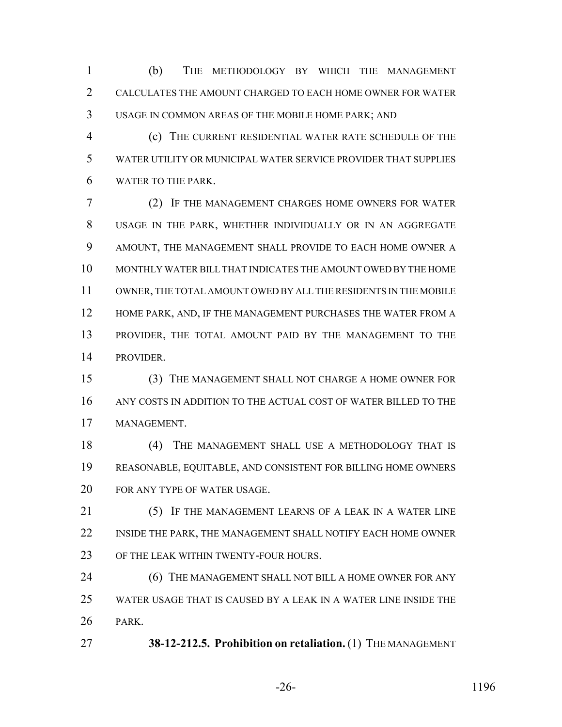(b) THE METHODOLOGY BY WHICH THE MANAGEMENT CALCULATES THE AMOUNT CHARGED TO EACH HOME OWNER FOR WATER USAGE IN COMMON AREAS OF THE MOBILE HOME PARK; AND

 (c) THE CURRENT RESIDENTIAL WATER RATE SCHEDULE OF THE WATER UTILITY OR MUNICIPAL WATER SERVICE PROVIDER THAT SUPPLIES WATER TO THE PARK.

 (2) IF THE MANAGEMENT CHARGES HOME OWNERS FOR WATER USAGE IN THE PARK, WHETHER INDIVIDUALLY OR IN AN AGGREGATE AMOUNT, THE MANAGEMENT SHALL PROVIDE TO EACH HOME OWNER A MONTHLY WATER BILL THAT INDICATES THE AMOUNT OWED BY THE HOME OWNER, THE TOTAL AMOUNT OWED BY ALL THE RESIDENTS IN THE MOBILE 12 HOME PARK, AND, IF THE MANAGEMENT PURCHASES THE WATER FROM A PROVIDER, THE TOTAL AMOUNT PAID BY THE MANAGEMENT TO THE PROVIDER.

 (3) THE MANAGEMENT SHALL NOT CHARGE A HOME OWNER FOR ANY COSTS IN ADDITION TO THE ACTUAL COST OF WATER BILLED TO THE MANAGEMENT.

 (4) THE MANAGEMENT SHALL USE A METHODOLOGY THAT IS REASONABLE, EQUITABLE, AND CONSISTENT FOR BILLING HOME OWNERS FOR ANY TYPE OF WATER USAGE.

21 (5) IF THE MANAGEMENT LEARNS OF A LEAK IN A WATER LINE INSIDE THE PARK, THE MANAGEMENT SHALL NOTIFY EACH HOME OWNER OF THE LEAK WITHIN TWENTY-FOUR HOURS.

**(6) THE MANAGEMENT SHALL NOT BILL A HOME OWNER FOR ANY**  WATER USAGE THAT IS CAUSED BY A LEAK IN A WATER LINE INSIDE THE PARK.

**38-12-212.5. Prohibition on retaliation.** (1) THE MANAGEMENT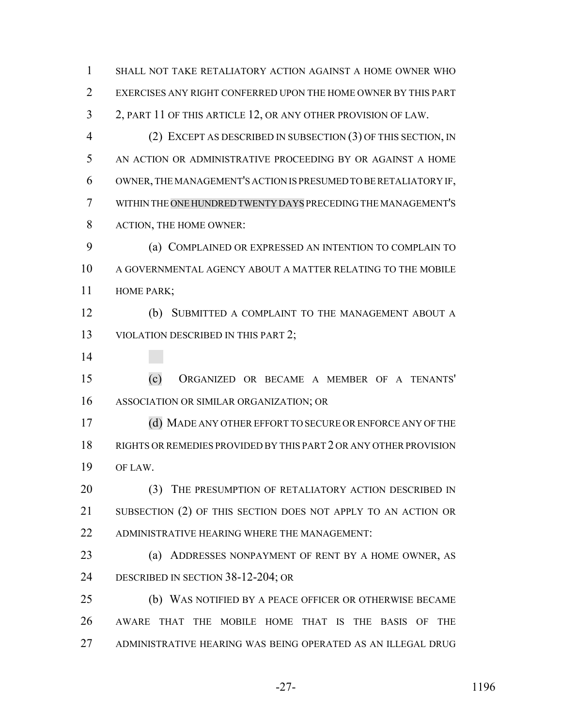SHALL NOT TAKE RETALIATORY ACTION AGAINST A HOME OWNER WHO EXERCISES ANY RIGHT CONFERRED UPON THE HOME OWNER BY THIS PART 2, PART 11 OF THIS ARTICLE 12, OR ANY OTHER PROVISION OF LAW. (2) EXCEPT AS DESCRIBED IN SUBSECTION (3) OF THIS SECTION, IN AN ACTION OR ADMINISTRATIVE PROCEEDING BY OR AGAINST A HOME OWNER, THE MANAGEMENT'S ACTION IS PRESUMED TO BE RETALIATORY IF, WITHIN THE ONE HUNDRED TWENTY DAYS PRECEDING THE MANAGEMENT'S ACTION, THE HOME OWNER: (a) COMPLAINED OR EXPRESSED AN INTENTION TO COMPLAIN TO A GOVERNMENTAL AGENCY ABOUT A MATTER RELATING TO THE MOBILE HOME PARK; (b) SUBMITTED A COMPLAINT TO THE MANAGEMENT ABOUT A 13 VIOLATION DESCRIBED IN THIS PART 2; (c) ORGANIZED OR BECAME A MEMBER OF A TENANTS' ASSOCIATION OR SIMILAR ORGANIZATION; OR (d) MADE ANY OTHER EFFORT TO SECURE OR ENFORCE ANY OF THE RIGHTS OR REMEDIES PROVIDED BY THIS PART 2 OR ANY OTHER PROVISION OF LAW. 20 (3) THE PRESUMPTION OF RETALIATORY ACTION DESCRIBED IN SUBSECTION (2) OF THIS SECTION DOES NOT APPLY TO AN ACTION OR ADMINISTRATIVE HEARING WHERE THE MANAGEMENT: (a) ADDRESSES NONPAYMENT OF RENT BY A HOME OWNER, AS DESCRIBED IN SECTION 38-12-204; OR (b) WAS NOTIFIED BY A PEACE OFFICER OR OTHERWISE BECAME AWARE THAT THE MOBILE HOME THAT IS THE BASIS OF THE ADMINISTRATIVE HEARING WAS BEING OPERATED AS AN ILLEGAL DRUG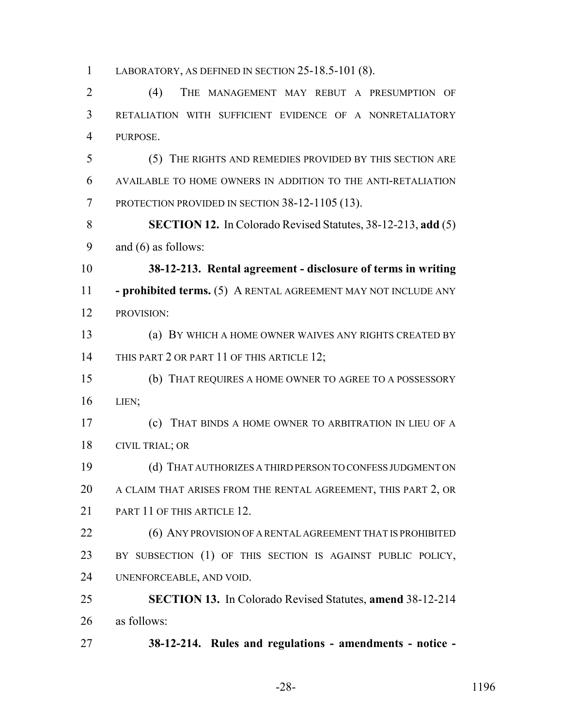LABORATORY, AS DEFINED IN SECTION 25-18.5-101 (8).

 (4) THE MANAGEMENT MAY REBUT A PRESUMPTION OF RETALIATION WITH SUFFICIENT EVIDENCE OF A NONRETALIATORY PURPOSE.

 (5) THE RIGHTS AND REMEDIES PROVIDED BY THIS SECTION ARE AVAILABLE TO HOME OWNERS IN ADDITION TO THE ANTI-RETALIATION PROTECTION PROVIDED IN SECTION 38-12-1105 (13).

 **SECTION 12.** In Colorado Revised Statutes, 38-12-213, **add** (5) and (6) as follows:

 **38-12-213. Rental agreement - disclosure of terms in writing - prohibited terms.** (5) A RENTAL AGREEMENT MAY NOT INCLUDE ANY PROVISION:

 (a) BY WHICH A HOME OWNER WAIVES ANY RIGHTS CREATED BY 14 THIS PART 2 OR PART 11 OF THIS ARTICLE 12;

 (b) THAT REQUIRES A HOME OWNER TO AGREE TO A POSSESSORY LIEN;

 (c) THAT BINDS A HOME OWNER TO ARBITRATION IN LIEU OF A CIVIL TRIAL; OR

 (d) THAT AUTHORIZES A THIRD PERSON TO CONFESS JUDGMENT ON A CLAIM THAT ARISES FROM THE RENTAL AGREEMENT, THIS PART 2, OR 21 PART 11 OF THIS ARTICLE 12.

22 (6) ANY PROVISION OF A RENTAL AGREEMENT THAT IS PROHIBITED BY SUBSECTION (1) OF THIS SECTION IS AGAINST PUBLIC POLICY, UNENFORCEABLE, AND VOID.

 **SECTION 13.** In Colorado Revised Statutes, **amend** 38-12-214 as follows:

**38-12-214. Rules and regulations - amendments - notice -**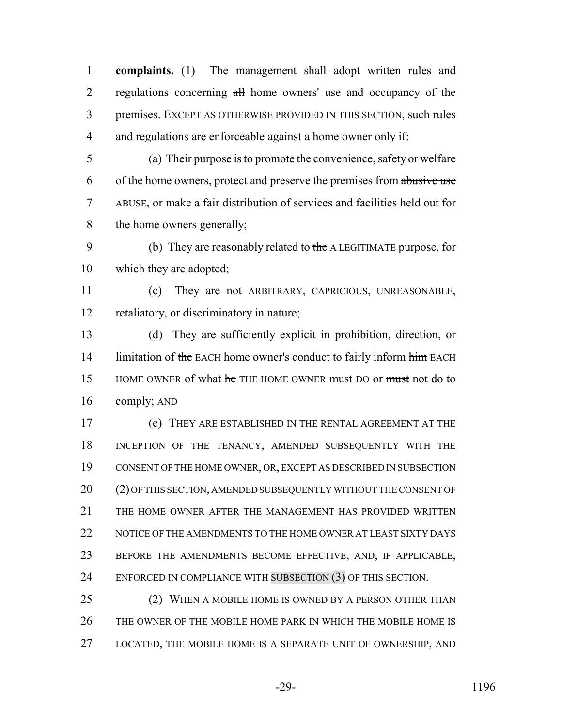**complaints.** (1) The management shall adopt written rules and 2 regulations concerning all home owners' use and occupancy of the premises. EXCEPT AS OTHERWISE PROVIDED IN THIS SECTION, such rules and regulations are enforceable against a home owner only if:

 (a) Their purpose is to promote the convenience, safety or welfare 6 of the home owners, protect and preserve the premises from abusive use ABUSE, or make a fair distribution of services and facilities held out for the home owners generally;

9 (b) They are reasonably related to the A LEGITIMATE purpose, for which they are adopted;

 (c) They are not ARBITRARY, CAPRICIOUS, UNREASONABLE, retaliatory, or discriminatory in nature;

 (d) They are sufficiently explicit in prohibition, direction, or 14 limitation of the EACH home owner's conduct to fairly inform him EACH 15 HOME OWNER of what he THE HOME OWNER must DO or must not do to comply; AND

 (e) THEY ARE ESTABLISHED IN THE RENTAL AGREEMENT AT THE INCEPTION OF THE TENANCY, AMENDED SUBSEQUENTLY WITH THE CONSENT OF THE HOME OWNER, OR, EXCEPT AS DESCRIBED IN SUBSECTION (2) OF THIS SECTION, AMENDED SUBSEQUENTLY WITHOUT THE CONSENT OF THE HOME OWNER AFTER THE MANAGEMENT HAS PROVIDED WRITTEN 22 NOTICE OF THE AMENDMENTS TO THE HOME OWNER AT LEAST SIXTY DAYS BEFORE THE AMENDMENTS BECOME EFFECTIVE, AND, IF APPLICABLE, ENFORCED IN COMPLIANCE WITH SUBSECTION (3) OF THIS SECTION.

25 (2) WHEN A MOBILE HOME IS OWNED BY A PERSON OTHER THAN THE OWNER OF THE MOBILE HOME PARK IN WHICH THE MOBILE HOME IS LOCATED, THE MOBILE HOME IS A SEPARATE UNIT OF OWNERSHIP, AND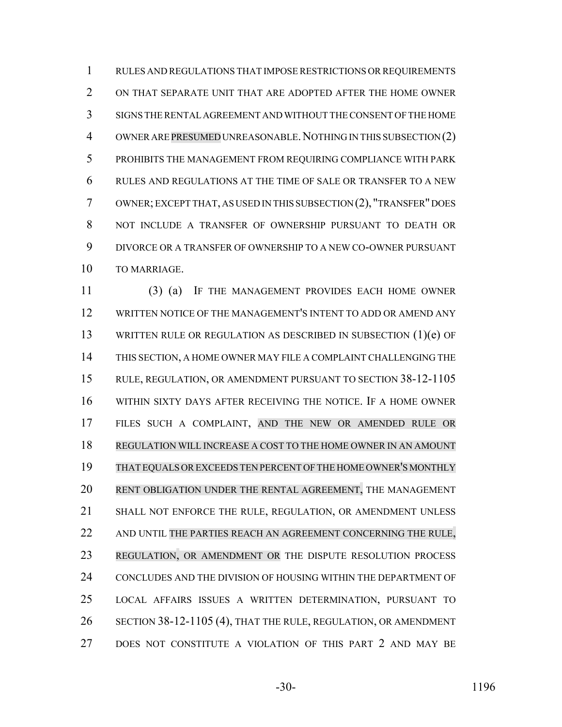RULES AND REGULATIONS THAT IMPOSE RESTRICTIONS OR REQUIREMENTS ON THAT SEPARATE UNIT THAT ARE ADOPTED AFTER THE HOME OWNER SIGNS THE RENTAL AGREEMENT AND WITHOUT THE CONSENT OF THE HOME 4 OWNER ARE PRESUMED UNREASONABLE. NOTHING IN THIS SUBSECTION (2) PROHIBITS THE MANAGEMENT FROM REQUIRING COMPLIANCE WITH PARK RULES AND REGULATIONS AT THE TIME OF SALE OR TRANSFER TO A NEW OWNER; EXCEPT THAT, AS USED IN THIS SUBSECTION (2), "TRANSFER" DOES NOT INCLUDE A TRANSFER OF OWNERSHIP PURSUANT TO DEATH OR DIVORCE OR A TRANSFER OF OWNERSHIP TO A NEW CO-OWNER PURSUANT TO MARRIAGE.

 (3) (a) IF THE MANAGEMENT PROVIDES EACH HOME OWNER WRITTEN NOTICE OF THE MANAGEMENT'S INTENT TO ADD OR AMEND ANY WRITTEN RULE OR REGULATION AS DESCRIBED IN SUBSECTION (1)(e) OF THIS SECTION, A HOME OWNER MAY FILE A COMPLAINT CHALLENGING THE RULE, REGULATION, OR AMENDMENT PURSUANT TO SECTION 38-12-1105 WITHIN SIXTY DAYS AFTER RECEIVING THE NOTICE. IF A HOME OWNER FILES SUCH A COMPLAINT, AND THE NEW OR AMENDED RULE OR REGULATION WILL INCREASE A COST TO THE HOME OWNER IN AN AMOUNT THAT EQUALS OREXCEEDS TEN PERCENT OFTHE HOME OWNER'S MONTHLY RENT OBLIGATION UNDER THE RENTAL AGREEMENT, THE MANAGEMENT SHALL NOT ENFORCE THE RULE, REGULATION, OR AMENDMENT UNLESS 22 AND UNTIL THE PARTIES REACH AN AGREEMENT CONCERNING THE RULE, REGULATION, OR AMENDMENT OR THE DISPUTE RESOLUTION PROCESS CONCLUDES AND THE DIVISION OF HOUSING WITHIN THE DEPARTMENT OF LOCAL AFFAIRS ISSUES A WRITTEN DETERMINATION, PURSUANT TO SECTION 38-12-1105 (4), THAT THE RULE, REGULATION, OR AMENDMENT DOES NOT CONSTITUTE A VIOLATION OF THIS PART 2 AND MAY BE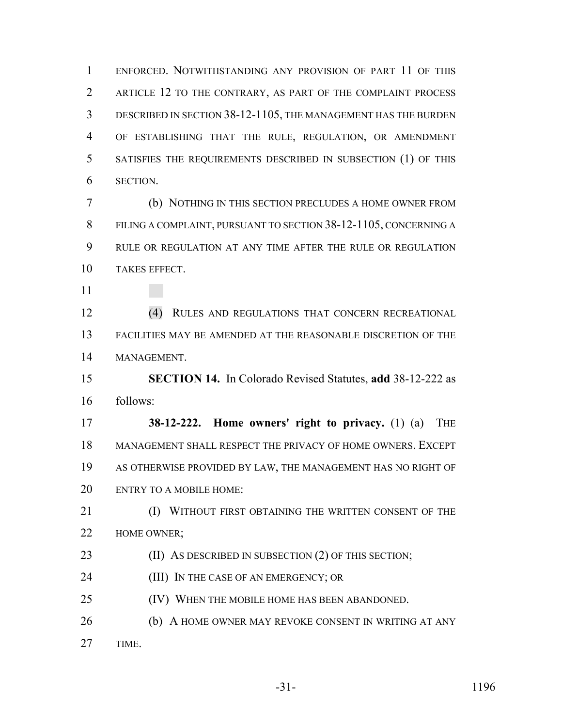ENFORCED. NOTWITHSTANDING ANY PROVISION OF PART 11 OF THIS ARTICLE 12 TO THE CONTRARY, AS PART OF THE COMPLAINT PROCESS DESCRIBED IN SECTION 38-12-1105, THE MANAGEMENT HAS THE BURDEN OF ESTABLISHING THAT THE RULE, REGULATION, OR AMENDMENT SATISFIES THE REQUIREMENTS DESCRIBED IN SUBSECTION (1) OF THIS SECTION.

 (b) NOTHING IN THIS SECTION PRECLUDES A HOME OWNER FROM FILING A COMPLAINT, PURSUANT TO SECTION 38-12-1105, CONCERNING A RULE OR REGULATION AT ANY TIME AFTER THE RULE OR REGULATION TAKES EFFECT.

 (4) RULES AND REGULATIONS THAT CONCERN RECREATIONAL FACILITIES MAY BE AMENDED AT THE REASONABLE DISCRETION OF THE MANAGEMENT.

 **SECTION 14.** In Colorado Revised Statutes, **add** 38-12-222 as follows:

 **38-12-222. Home owners' right to privacy.** (1) (a) THE MANAGEMENT SHALL RESPECT THE PRIVACY OF HOME OWNERS. EXCEPT AS OTHERWISE PROVIDED BY LAW, THE MANAGEMENT HAS NO RIGHT OF ENTRY TO A MOBILE HOME:

**(I) WITHOUT FIRST OBTAINING THE WRITTEN CONSENT OF THE** HOME OWNER;

**(II) AS DESCRIBED IN SUBSECTION (2) OF THIS SECTION;** 

(III) IN THE CASE OF AN EMERGENCY; OR

(IV) WHEN THE MOBILE HOME HAS BEEN ABANDONED.

**(b)** A HOME OWNER MAY REVOKE CONSENT IN WRITING AT ANY

TIME.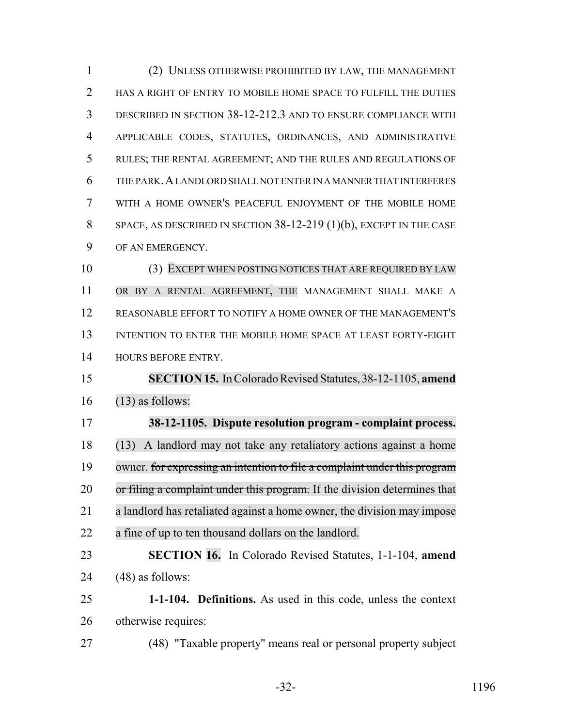(2) UNLESS OTHERWISE PROHIBITED BY LAW, THE MANAGEMENT 2 HAS A RIGHT OF ENTRY TO MOBILE HOME SPACE TO FULFILL THE DUTIES DESCRIBED IN SECTION 38-12-212.3 AND TO ENSURE COMPLIANCE WITH APPLICABLE CODES, STATUTES, ORDINANCES, AND ADMINISTRATIVE RULES; THE RENTAL AGREEMENT; AND THE RULES AND REGULATIONS OF THE PARK.A LANDLORD SHALL NOT ENTER IN A MANNER THAT INTERFERES WITH A HOME OWNER'S PEACEFUL ENJOYMENT OF THE MOBILE HOME SPACE, AS DESCRIBED IN SECTION 38-12-219 (1)(b), EXCEPT IN THE CASE OF AN EMERGENCY. (3) EXCEPT WHEN POSTING NOTICES THAT ARE REQUIRED BY LAW OR BY A RENTAL AGREEMENT, THE MANAGEMENT SHALL MAKE A REASONABLE EFFORT TO NOTIFY A HOME OWNER OF THE MANAGEMENT'S INTENTION TO ENTER THE MOBILE HOME SPACE AT LEAST FORTY-EIGHT HOURS BEFORE ENTRY. **SECTION 15.** In Colorado Revised Statutes, 38-12-1105, **amend** (13) as follows: **38-12-1105. Dispute resolution program - complaint process.** (13) A landlord may not take any retaliatory actions against a home owner. for expressing an intention to file a complaint under this program 20 or filing a complaint under this program. If the division determines that a landlord has retaliated against a home owner, the division may impose a fine of up to ten thousand dollars on the landlord. **SECTION 16.** In Colorado Revised Statutes, 1-1-104, **amend** (48) as follows: **1-1-104. Definitions.** As used in this code, unless the context otherwise requires: (48) "Taxable property" means real or personal property subject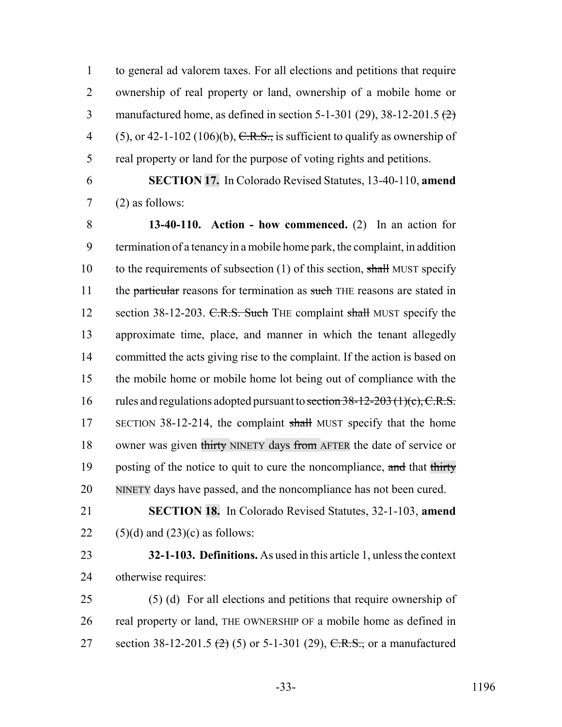1 to general ad valorem taxes. For all elections and petitions that require 2 ownership of real property or land, ownership of a mobile home or 3 manufactured home, as defined in section  $5-1-301$  (29),  $38-12-201.5$  (2) 4 (5), or 42-1-102 (106)(b),  $C.R.S.,$  is sufficient to qualify as ownership of 5 real property or land for the purpose of voting rights and petitions.

6 **SECTION 17.** In Colorado Revised Statutes, 13-40-110, **amend** 7 (2) as follows:

8 **13-40-110. Action - how commenced.** (2) In an action for 9 termination of a tenancy in a mobile home park, the complaint, in addition 10 to the requirements of subsection (1) of this section, shall MUST specify 11 the particular reasons for termination as such THE reasons are stated in 12 section 38-12-203. C.R.S. Such THE complaint shall MUST specify the 13 approximate time, place, and manner in which the tenant allegedly 14 committed the acts giving rise to the complaint. If the action is based on 15 the mobile home or mobile home lot being out of compliance with the 16 rules and regulations adopted pursuant to section 38-12-203 (1)(c), C.R.S. 17 SECTION 38-12-214, the complaint shall MUST specify that the home 18 owner was given thirty NINETY days from AFTER the date of service or 19 posting of the notice to quit to cure the noncompliance, and that thirty 20 NINETY days have passed, and the noncompliance has not been cured.

21 **SECTION 18.** In Colorado Revised Statutes, 32-1-103, **amend** 22  $(5)(d)$  and  $(23)(c)$  as follows:

23 **32-1-103. Definitions.** As used in this article 1, unless the context 24 otherwise requires:

25 (5) (d) For all elections and petitions that require ownership of 26 real property or land, THE OWNERSHIP OF a mobile home as defined in 27 section 38-12-201.5  $(2)$  (5) or 5-1-301 (29), C.R.S., or a manufactured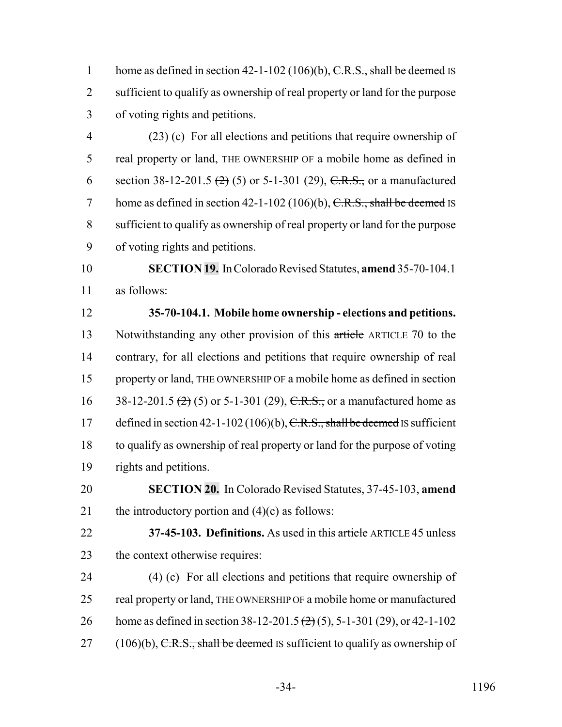1 home as defined in section 42-1-102 (106)(b),  $C.R.S.,$  shall be deemed IS sufficient to qualify as ownership of real property or land for the purpose of voting rights and petitions.

 (23) (c) For all elections and petitions that require ownership of real property or land, THE OWNERSHIP OF a mobile home as defined in 6 section 38-12-201.5  $(2)$  (5) or 5-1-301 (29), C.R.S., or a manufactured 7 home as defined in section 42-1-102 (106)(b),  $C.R.S.,$  shall be deemed IS sufficient to qualify as ownership of real property or land for the purpose of voting rights and petitions.

 **SECTION 19.** In Colorado Revised Statutes, **amend** 35-70-104.1 as follows:

 **35-70-104.1. Mobile home ownership - elections and petitions.** Notwithstanding any other provision of this article ARTICLE 70 to the contrary, for all elections and petitions that require ownership of real property or land, THE OWNERSHIP OF a mobile home as defined in section 16 38-12-201.5  $(2)$  (5) or 5-1-301 (29), C.R.S., or a manufactured home as 17 defined in section 42-1-102 (106)(b),  $C.R.S., shall be deemed$  IS sufficient to qualify as ownership of real property or land for the purpose of voting rights and petitions.

 **SECTION 20.** In Colorado Revised Statutes, 37-45-103, **amend** 21 the introductory portion and  $(4)(c)$  as follows:

 **37-45-103. Definitions.** As used in this article ARTICLE 45 unless the context otherwise requires:

 (4) (c) For all elections and petitions that require ownership of real property or land, THE OWNERSHIP OF a mobile home or manufactured 26 home as defined in section 38-12-201.5 (2) (5), 5-1-301 (29), or 42-1-102 (106)(b), C.R.S., shall be deemed IS sufficient to qualify as ownership of